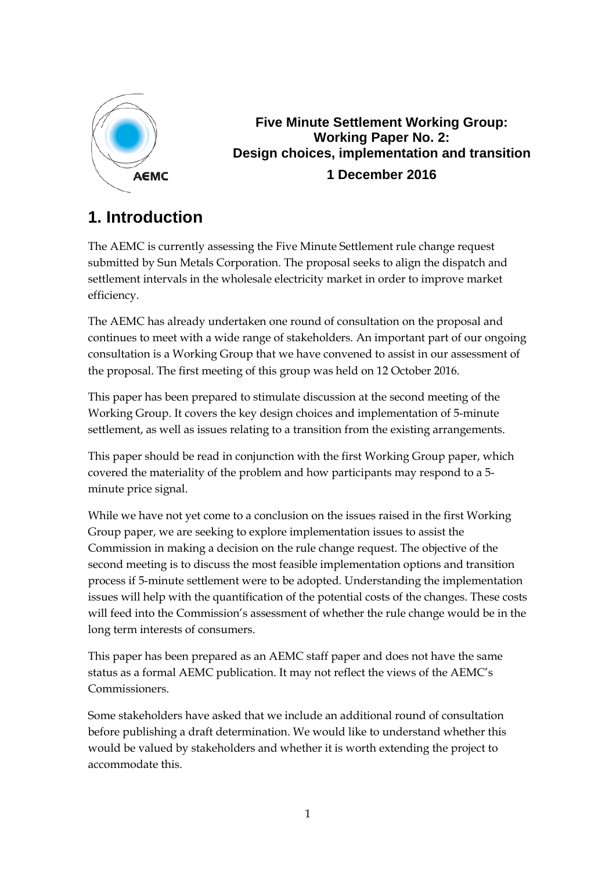

## **Five Minute Settlement Working Group: Working Paper No. 2: Design choices, implementation and transition 1 December 2016**

# **1. Introduction**

The AEMC is currently assessing the Five Minute Settlement rule change request submitted by Sun Metals Corporation. The proposal seeks to align the dispatch and settlement intervals in the wholesale electricity market in order to improve market efficiency.

The AEMC has already undertaken one round of consultation on the proposal and continues to meet with a wide range of stakeholders. An important part of our ongoing consultation is a Working Group that we have convened to assist in our assessment of the proposal. The first meeting of this group was held on 12 October 2016.

This paper has been prepared to stimulate discussion at the second meeting of the Working Group. It covers the key design choices and implementation of 5-minute settlement, as well as issues relating to a transition from the existing arrangements.

This paper should be read in conjunction with the first Working Group paper, which covered the materiality of the problem and how participants may respond to a 5 minute price signal.

While we have not yet come to a conclusion on the issues raised in the first Working Group paper, we are seeking to explore implementation issues to assist the Commission in making a decision on the rule change request. The objective of the second meeting is to discuss the most feasible implementation options and transition process if 5-minute settlement were to be adopted. Understanding the implementation issues will help with the quantification of the potential costs of the changes. These costs will feed into the Commission's assessment of whether the rule change would be in the long term interests of consumers.

This paper has been prepared as an AEMC staff paper and does not have the same status as a formal AEMC publication. It may not reflect the views of the AEMC's Commissioners.

Some stakeholders have asked that we include an additional round of consultation before publishing a draft determination. We would like to understand whether this would be valued by stakeholders and whether it is worth extending the project to accommodate this.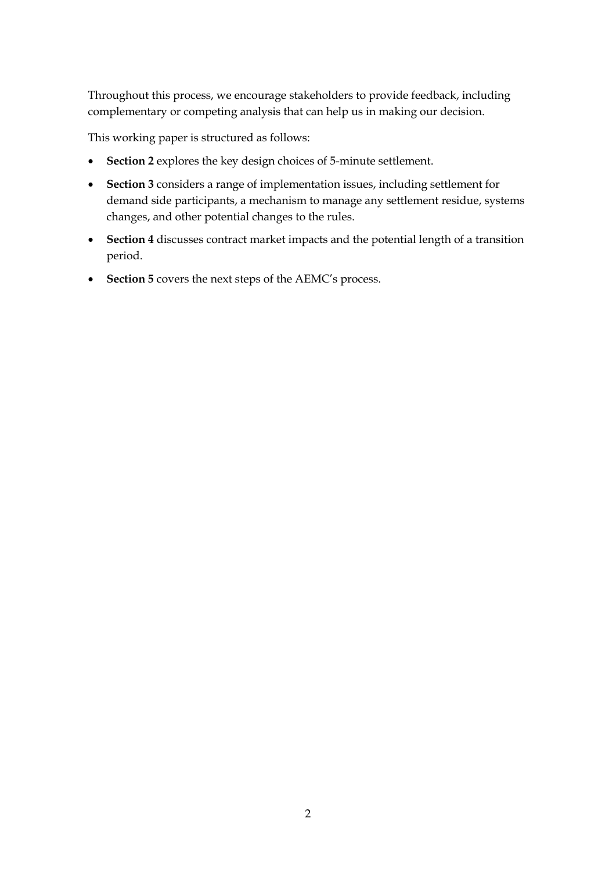Throughout this process, we encourage stakeholders to provide feedback, including complementary or competing analysis that can help us in making our decision.

This working paper is structured as follows:

- **Section 2** explores the key design choices of 5-minute settlement.
- **Section 3** considers a range of implementation issues, including settlement for demand side participants, a mechanism to manage any settlement residue, systems changes, and other potential changes to the rules.
- **Section 4** discusses contract market impacts and the potential length of a transition period.
- **Section 5** covers the next steps of the AEMC's process.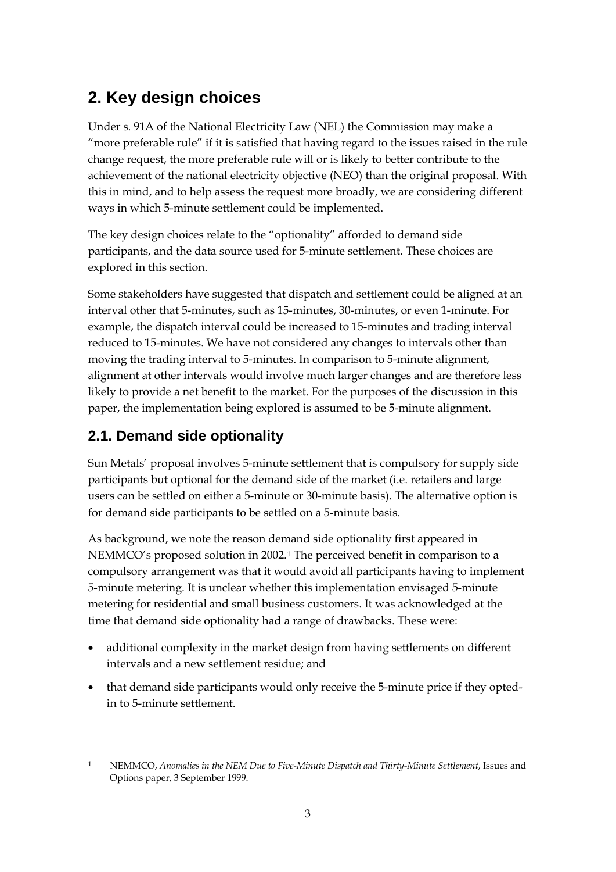# **2. Key design choices**

Under s. 91A of the National Electricity Law (NEL) the Commission may make a "more preferable rule" if it is satisfied that having regard to the issues raised in the rule change request, the more preferable rule will or is likely to better contribute to the achievement of the national electricity objective (NEO) than the original proposal. With this in mind, and to help assess the request more broadly, we are considering different ways in which 5-minute settlement could be implemented.

The key design choices relate to the "optionality" afforded to demand side participants, and the data source used for 5-minute settlement. These choices are explored in this section.

Some stakeholders have suggested that dispatch and settlement could be aligned at an interval other that 5-minutes, such as 15-minutes, 30-minutes, or even 1-minute. For example, the dispatch interval could be increased to 15-minutes and trading interval reduced to 15-minutes. We have not considered any changes to intervals other than moving the trading interval to 5-minutes. In comparison to 5-minute alignment, alignment at other intervals would involve much larger changes and are therefore less likely to provide a net benefit to the market. For the purposes of the discussion in this paper, the implementation being explored is assumed to be 5-minute alignment.

## **2.1. Demand side optionality**

<u>.</u>

Sun Metals' proposal involves 5-minute settlement that is compulsory for supply side participants but optional for the demand side of the market (i.e. retailers and large users can be settled on either a 5-minute or 30-minute basis). The alternative option is for demand side participants to be settled on a 5-minute basis.

As background, we note the reason demand side optionality first appeared in NEMMCO's proposed solution in 2002.[1](#page-2-0) The perceived benefit in comparison to a compulsory arrangement was that it would avoid all participants having to implement 5-minute metering. It is unclear whether this implementation envisaged 5-minute metering for residential and small business customers. It was acknowledged at the time that demand side optionality had a range of drawbacks. These were:

- additional complexity in the market design from having settlements on different intervals and a new settlement residue; and
- that demand side participants would only receive the 5-minute price if they optedin to 5-minute settlement.

<span id="page-2-0"></span><sup>1</sup> NEMMCO, *Anomalies in the NEM Due to Five-Minute Dispatch and Thirty-Minute Settlement*, Issues and Options paper, 3 September 1999.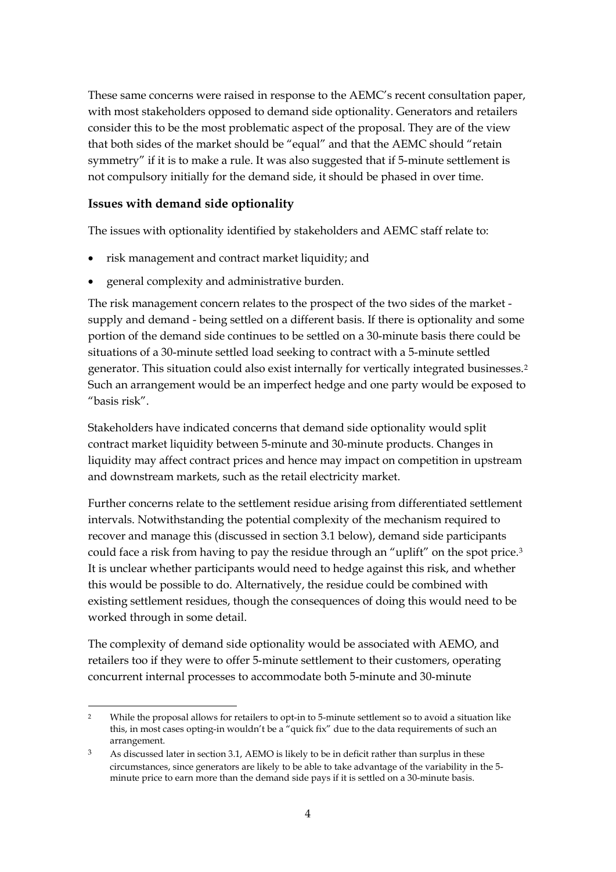These same concerns were raised in response to the AEMC's recent consultation paper, with most stakeholders opposed to demand side optionality. Generators and retailers consider this to be the most problematic aspect of the proposal. They are of the view that both sides of the market should be "equal" and that the AEMC should "retain symmetry" if it is to make a rule. It was also suggested that if 5-minute settlement is not compulsory initially for the demand side, it should be phased in over time.

#### **Issues with demand side optionality**

The issues with optionality identified by stakeholders and AEMC staff relate to:

- risk management and contract market liquidity; and
- general complexity and administrative burden.

The risk management concern relates to the prospect of the two sides of the market supply and demand - being settled on a different basis. If there is optionality and some portion of the demand side continues to be settled on a 30-minute basis there could be situations of a 30-minute settled load seeking to contract with a 5-minute settled generator. This situation could also exist internally for vertically integrated businesses.[2](#page-3-0) Such an arrangement would be an imperfect hedge and one party would be exposed to "basis risk".

Stakeholders have indicated concerns that demand side optionality would split contract market liquidity between 5-minute and 30-minute products. Changes in liquidity may affect contract prices and hence may impact on competition in upstream and downstream markets, such as the retail electricity market.

Further concerns relate to the settlement residue arising from differentiated settlement intervals. Notwithstanding the potential complexity of the mechanism required to recover and manage this (discussed in section 3.1 below), demand side participants could face a risk from having to pay the residue through an "uplift" on the spot price.[3](#page-3-1) It is unclear whether participants would need to hedge against this risk, and whether this would be possible to do. Alternatively, the residue could be combined with existing settlement residues, though the consequences of doing this would need to be worked through in some detail.

The complexity of demand side optionality would be associated with AEMO, and retailers too if they were to offer 5-minute settlement to their customers, operating concurrent internal processes to accommodate both 5-minute and 30-minute

<span id="page-3-0"></span> <sup>2</sup> While the proposal allows for retailers to opt-in to 5-minute settlement so to avoid a situation like this, in most cases opting-in wouldn't be a "quick fix" due to the data requirements of such an arrangement.

<span id="page-3-1"></span><sup>&</sup>lt;sup>3</sup> As discussed later in section 3.1, AEMO is likely to be in deficit rather than surplus in these circumstances, since generators are likely to be able to take advantage of the variability in the 5 minute price to earn more than the demand side pays if it is settled on a 30-minute basis.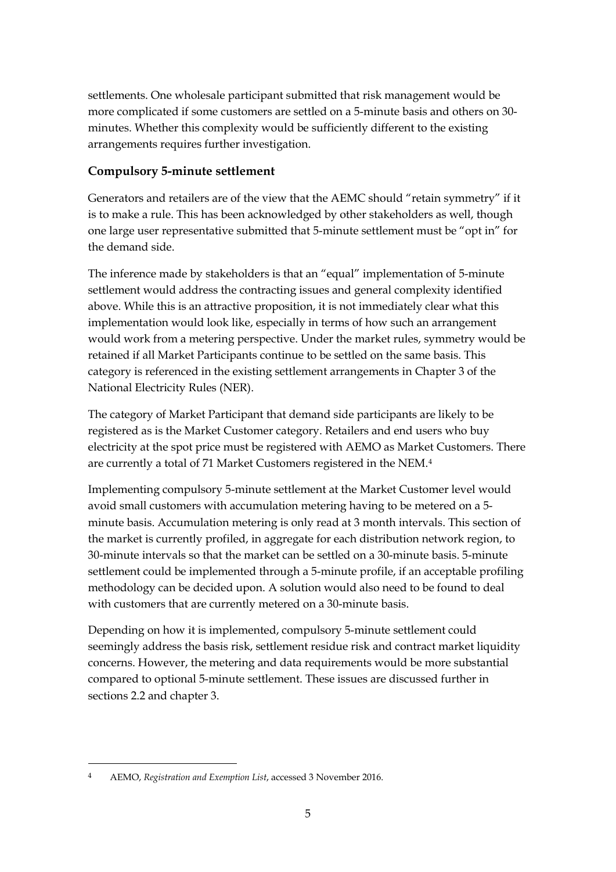settlements. One wholesale participant submitted that risk management would be more complicated if some customers are settled on a 5-minute basis and others on 30 minutes. Whether this complexity would be sufficiently different to the existing arrangements requires further investigation.

## **Compulsory 5-minute settlement**

Generators and retailers are of the view that the AEMC should "retain symmetry" if it is to make a rule. This has been acknowledged by other stakeholders as well, though one large user representative submitted that 5-minute settlement must be "opt in" for the demand side.

The inference made by stakeholders is that an "equal" implementation of 5-minute settlement would address the contracting issues and general complexity identified above. While this is an attractive proposition, it is not immediately clear what this implementation would look like, especially in terms of how such an arrangement would work from a metering perspective. Under the market rules, symmetry would be retained if all Market Participants continue to be settled on the same basis. This category is referenced in the existing settlement arrangements in Chapter 3 of the National Electricity Rules (NER).

The category of Market Participant that demand side participants are likely to be registered as is the Market Customer category. Retailers and end users who buy electricity at the spot price must be registered with AEMO as Market Customers. There are currently a total of 71 Market Customers registered in the NEM.<sup>[4](#page-4-0)</sup>

Implementing compulsory 5-minute settlement at the Market Customer level would avoid small customers with accumulation metering having to be metered on a 5 minute basis. Accumulation metering is only read at 3 month intervals. This section of the market is currently profiled, in aggregate for each distribution network region, to 30-minute intervals so that the market can be settled on a 30-minute basis. 5-minute settlement could be implemented through a 5-minute profile, if an acceptable profiling methodology can be decided upon. A solution would also need to be found to deal with customers that are currently metered on a 30-minute basis.

Depending on how it is implemented, compulsory 5-minute settlement could seemingly address the basis risk, settlement residue risk and contract market liquidity concerns. However, the metering and data requirements would be more substantial compared to optional 5-minute settlement. These issues are discussed further in sections 2.2 and chapter 3.

<u>.</u>

<span id="page-4-0"></span><sup>4</sup> AEMO, *Registration and Exemption List*, accessed 3 November 2016.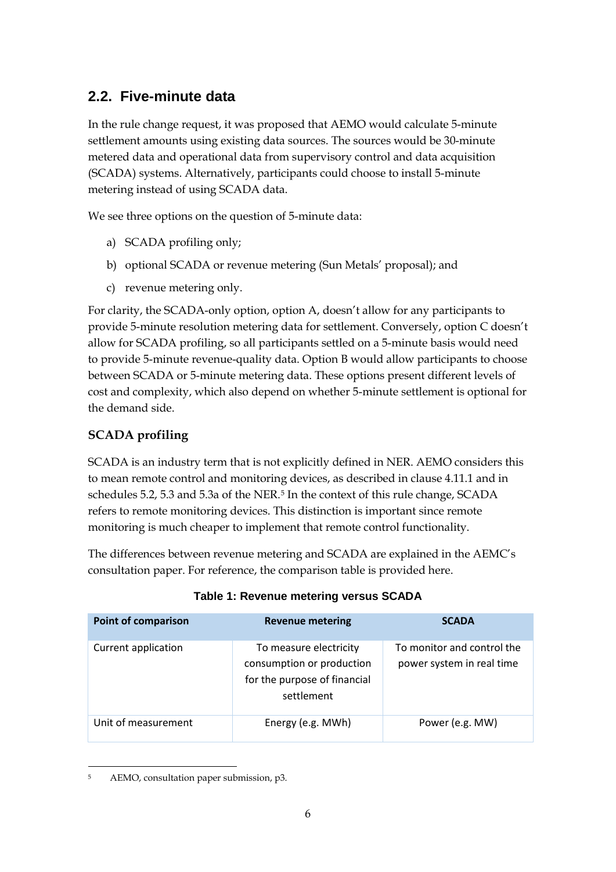## **2.2. Five-minute data**

In the rule change request, it was proposed that AEMO would calculate 5-minute settlement amounts using existing data sources. The sources would be 30-minute metered data and operational data from supervisory control and data acquisition (SCADA) systems. Alternatively, participants could choose to install 5-minute metering instead of using SCADA data.

We see three options on the question of 5-minute data:

- a) SCADA profiling only;
- b) optional SCADA or revenue metering (Sun Metals' proposal); and
- c) revenue metering only.

For clarity, the SCADA-only option, option A, doesn't allow for any participants to provide 5-minute resolution metering data for settlement. Conversely, option C doesn't allow for SCADA profiling, so all participants settled on a 5-minute basis would need to provide 5-minute revenue-quality data. Option B would allow participants to choose between SCADA or 5-minute metering data. These options present different levels of cost and complexity, which also depend on whether 5-minute settlement is optional for the demand side.

## **SCADA profiling**

SCADA is an industry term that is not explicitly defined in NER. AEMO considers this to mean remote control and monitoring devices, as described in clause 4.11.1 and in schedules [5](#page-5-0).2, 5.3 and 5.3a of the NER.<sup>5</sup> In the context of this rule change, SCADA refers to remote monitoring devices. This distinction is important since remote monitoring is much cheaper to implement that remote control functionality.

The differences between revenue metering and SCADA are explained in the AEMC's consultation paper. For reference, the comparison table is provided here.

| <b>Point of comparison</b> | <b>Revenue metering</b>                                                                           | <b>SCADA</b>                                            |
|----------------------------|---------------------------------------------------------------------------------------------------|---------------------------------------------------------|
| Current application        | To measure electricity<br>consumption or production<br>for the purpose of financial<br>settlement | To monitor and control the<br>power system in real time |
| Unit of measurement        | Energy (e.g. MWh)                                                                                 | Power (e.g. MW)                                         |

<span id="page-5-0"></span> <sup>5</sup> AEMO, consultation paper submission, p3.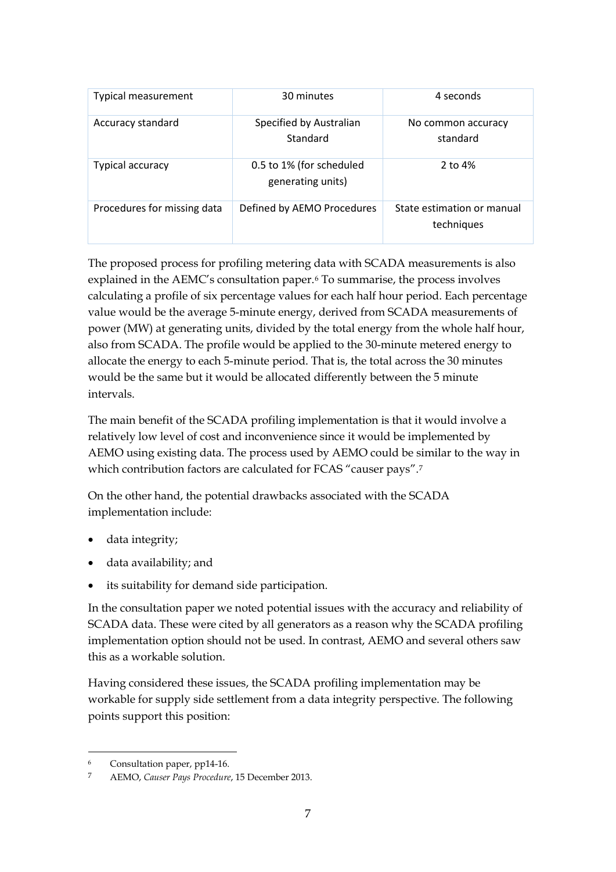| <b>Typical measurement</b>  | 30 minutes                                    | 4 seconds                                |
|-----------------------------|-----------------------------------------------|------------------------------------------|
| Accuracy standard           | Specified by Australian<br>Standard           | No common accuracy<br>standard           |
| <b>Typical accuracy</b>     | 0.5 to 1% (for scheduled<br>generating units) | 2 to 4%                                  |
| Procedures for missing data | Defined by AEMO Procedures                    | State estimation or manual<br>techniques |

The proposed process for profiling metering data with SCADA measurements is also explained in the AEMC's consultation paper.[6](#page-6-0) To summarise, the process involves calculating a profile of six percentage values for each half hour period. Each percentage value would be the average 5-minute energy, derived from SCADA measurements of power (MW) at generating units, divided by the total energy from the whole half hour, also from SCADA. The profile would be applied to the 30-minute metered energy to allocate the energy to each 5-minute period. That is, the total across the 30 minutes would be the same but it would be allocated differently between the 5 minute intervals.

The main benefit of the SCADA profiling implementation is that it would involve a relatively low level of cost and inconvenience since it would be implemented by AEMO using existing data. The process used by AEMO could be similar to the way in which contribution factors are calculated for FCAS "causer pays".<sup>[7](#page-6-1)</sup>

On the other hand, the potential drawbacks associated with the SCADA implementation include:

- data integrity;
- data availability; and
- its suitability for demand side participation.

In the consultation paper we noted potential issues with the accuracy and reliability of SCADA data. These were cited by all generators as a reason why the SCADA profiling implementation option should not be used. In contrast, AEMO and several others saw this as a workable solution.

Having considered these issues, the SCADA profiling implementation may be workable for supply side settlement from a data integrity perspective. The following points support this position:

<span id="page-6-0"></span> <sup>6</sup> Consultation paper, pp14-16.

<span id="page-6-1"></span><sup>7</sup> AEMO, *Causer Pays Procedure*, 15 December 2013.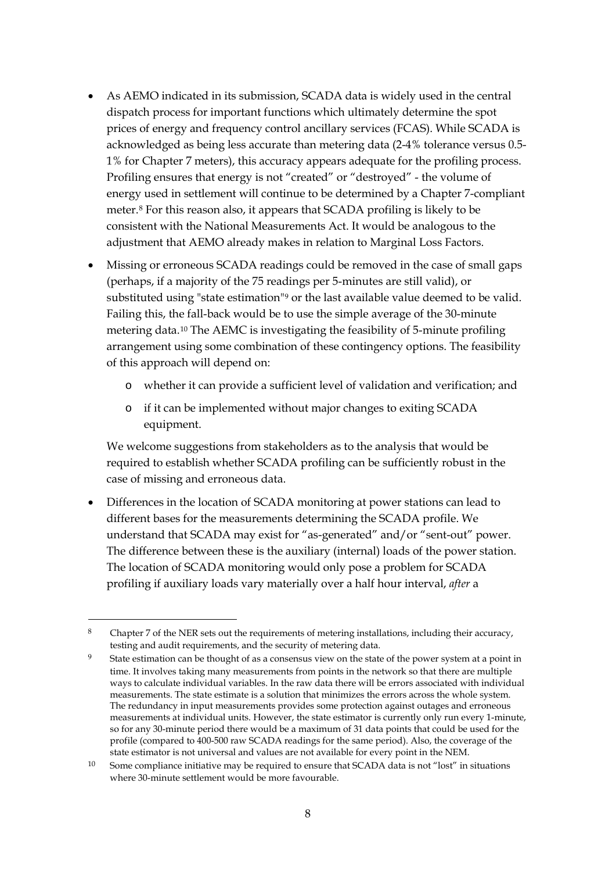- As AEMO indicated in its submission, SCADA data is widely used in the central dispatch process for important functions which ultimately determine the spot prices of energy and frequency control ancillary services (FCAS). While SCADA is acknowledged as being less accurate than metering data (2-4% tolerance versus 0.5- 1% for Chapter 7 meters), this accuracy appears adequate for the profiling process. Profiling ensures that energy is not "created" or "destroyed" - the volume of energy used in settlement will continue to be determined by a Chapter 7-compliant meter.[8](#page-7-0) For this reason also, it appears that SCADA profiling is likely to be consistent with the National Measurements Act. It would be analogous to the adjustment that AEMO already makes in relation to Marginal Loss Factors.
- Missing or erroneous SCADA readings could be removed in the case of small gaps (perhaps, if a majority of the 75 readings per 5-minutes are still valid), or substituted using "state estimation"<sup>9</sup> or the last available value deemed to be valid. Failing this, the fall-back would be to use the simple average of the 30-minute metering data.[10](#page-7-2) The AEMC is investigating the feasibility of 5-minute profiling arrangement using some combination of these contingency options. The feasibility of this approach will depend on:
	- o whether it can provide a sufficient level of validation and verification; and
	- o if it can be implemented without major changes to exiting SCADA equipment.

We welcome suggestions from stakeholders as to the analysis that would be required to establish whether SCADA profiling can be sufficiently robust in the case of missing and erroneous data.

• Differences in the location of SCADA monitoring at power stations can lead to different bases for the measurements determining the SCADA profile. We understand that SCADA may exist for "as-generated" and/or "sent-out" power. The difference between these is the auxiliary (internal) loads of the power station. The location of SCADA monitoring would only pose a problem for SCADA profiling if auxiliary loads vary materially over a half hour interval, *after* a

-

<span id="page-7-0"></span><sup>8</sup> Chapter 7 of the NER sets out the requirements of metering installations, including their accuracy, testing and audit requirements, and the security of metering data.

<span id="page-7-1"></span>State estimation can be thought of as a consensus view on the state of the power system at a point in time. It involves taking many measurements from points in the network so that there are multiple ways to calculate individual variables. In the raw data there will be errors associated with individual measurements. The state estimate is a solution that minimizes the errors across the whole system. The redundancy in input measurements provides some protection against outages and erroneous measurements at individual units. However, the state estimator is currently only run every 1-minute, so for any 30-minute period there would be a maximum of 31 data points that could be used for the profile (compared to 400-500 raw SCADA readings for the same period). Also, the coverage of the state estimator is not universal and values are not available for every point in the NEM.

<span id="page-7-2"></span><sup>&</sup>lt;sup>10</sup> Some compliance initiative may be required to ensure that SCADA data is not "lost" in situations where 30-minute settlement would be more favourable.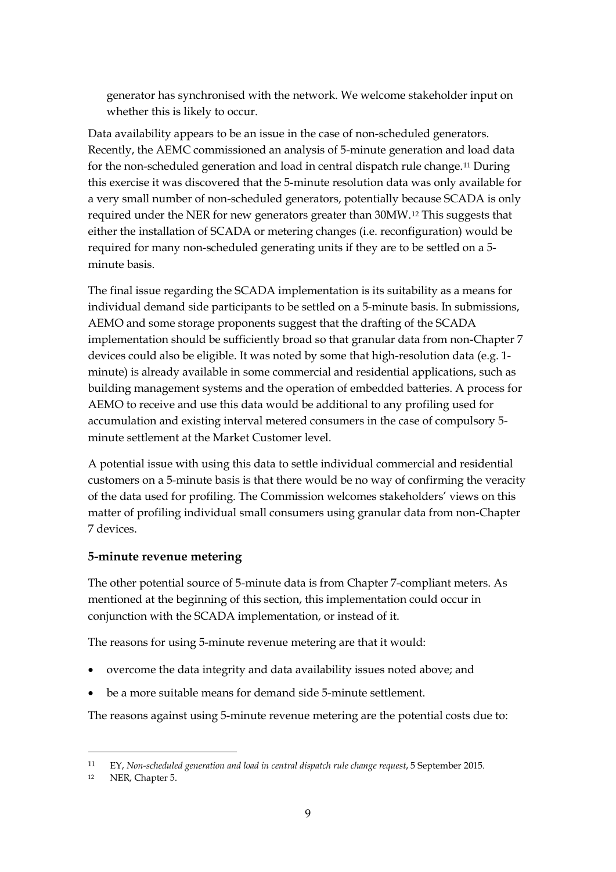generator has synchronised with the network. We welcome stakeholder input on whether this is likely to occur.

Data availability appears to be an issue in the case of non-scheduled generators. Recently, the AEMC commissioned an analysis of 5-minute generation and load data for the non-scheduled generation and load in central dispatch rule change.[11](#page-8-0) During this exercise it was discovered that the 5-minute resolution data was only available for a very small number of non-scheduled generators, potentially because SCADA is only required under the NER for new generators greater than 30MW.[12](#page-8-1) This suggests that either the installation of SCADA or metering changes (i.e. reconfiguration) would be required for many non-scheduled generating units if they are to be settled on a 5 minute basis.

The final issue regarding the SCADA implementation is its suitability as a means for individual demand side participants to be settled on a 5-minute basis. In submissions, AEMO and some storage proponents suggest that the drafting of the SCADA implementation should be sufficiently broad so that granular data from non-Chapter 7 devices could also be eligible. It was noted by some that high-resolution data (e.g. 1 minute) is already available in some commercial and residential applications, such as building management systems and the operation of embedded batteries. A process for AEMO to receive and use this data would be additional to any profiling used for accumulation and existing interval metered consumers in the case of compulsory 5 minute settlement at the Market Customer level.

A potential issue with using this data to settle individual commercial and residential customers on a 5-minute basis is that there would be no way of confirming the veracity of the data used for profiling. The Commission welcomes stakeholders' views on this matter of profiling individual small consumers using granular data from non-Chapter 7 devices.

#### **5-minute revenue metering**

The other potential source of 5-minute data is from Chapter 7-compliant meters. As mentioned at the beginning of this section, this implementation could occur in conjunction with the SCADA implementation, or instead of it.

The reasons for using 5-minute revenue metering are that it would:

- overcome the data integrity and data availability issues noted above; and
- be a more suitable means for demand side 5-minute settlement.

The reasons against using 5-minute revenue metering are the potential costs due to:

<u>.</u>

<span id="page-8-0"></span><sup>11</sup> EY, *Non-scheduled generation and load in central dispatch rule change request*, 5 September 2015.

<span id="page-8-1"></span><sup>12</sup> NER, Chapter 5.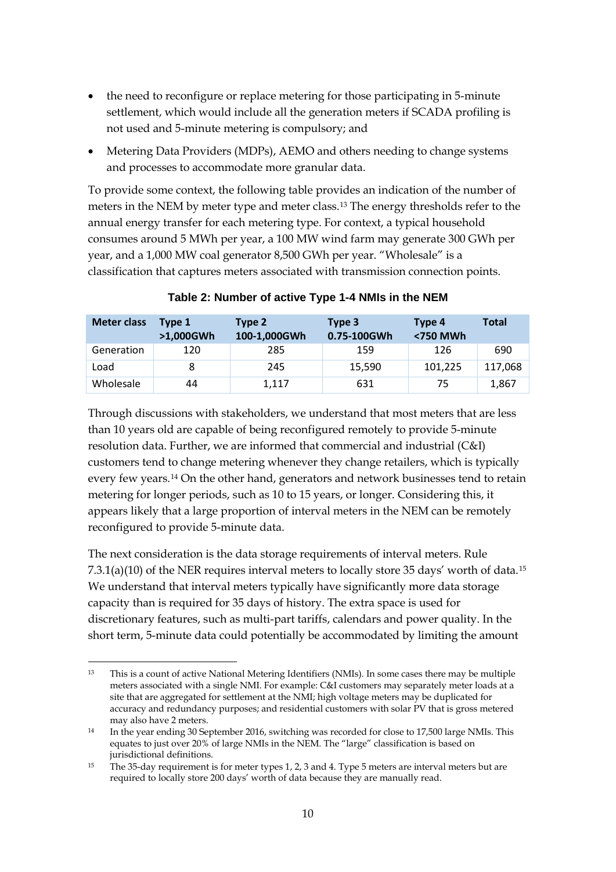- the need to reconfigure or replace metering for those participating in 5-minute settlement, which would include all the generation meters if SCADA profiling is not used and 5-minute metering is compulsory; and
- Metering Data Providers (MDPs), AEMO and others needing to change systems and processes to accommodate more granular data.

To provide some context, the following table provides an indication of the number of meters in the NEM by meter type and meter class.[13](#page-9-0) The energy thresholds refer to the annual energy transfer for each metering type. For context, a typical household consumes around 5 MWh per year, a 100 MW wind farm may generate 300 GWh per year, and a 1,000 MW coal generator 8,500 GWh per year. "Wholesale" is a classification that captures meters associated with transmission connection points.

| <b>Meter class</b> | Type 1<br>>1,000GWh | Type 2<br>100-1,000GWh | Type 3<br>0.75-100GWh | Type 4<br><750 MWh | <b>Total</b> |
|--------------------|---------------------|------------------------|-----------------------|--------------------|--------------|
| Generation         | 120                 | 285                    | 159                   | 126                | 690          |
| Load               | 8                   | 245                    | 15,590                | 101,225            | 117,068      |
| Wholesale          | 44                  | 1,117                  | 631                   | 75                 | 1,867        |

**Table 2: Number of active Type 1-4 NMIs in the NEM**

Through discussions with stakeholders, we understand that most meters that are less than 10 years old are capable of being reconfigured remotely to provide 5-minute resolution data. Further, we are informed that commercial and industrial (C&I) customers tend to change metering whenever they change retailers, which is typically every few years.[14](#page-9-1) On the other hand, generators and network businesses tend to retain metering for longer periods, such as 10 to 15 years, or longer. Considering this, it appears likely that a large proportion of interval meters in the NEM can be remotely reconfigured to provide 5-minute data.

The next consideration is the data storage requirements of interval meters. Rule 7.3.1(a)(10) of the NER requires interval meters to locally store 35 days' worth of data.[15](#page-9-2) We understand that interval meters typically have significantly more data storage capacity than is required for 35 days of history. The extra space is used for discretionary features, such as multi-part tariffs, calendars and power quality. In the short term, 5-minute data could potentially be accommodated by limiting the amount

<span id="page-9-0"></span> <sup>13</sup> This is a count of active National Metering Identifiers (NMIs). In some cases there may be multiple meters associated with a single NMI. For example: C&I customers may separately meter loads at a site that are aggregated for settlement at the NMI; high voltage meters may be duplicated for accuracy and redundancy purposes; and residential customers with solar PV that is gross metered may also have 2 meters.

<span id="page-9-1"></span><sup>14</sup> In the year ending 30 September 2016, switching was recorded for close to 17,500 large NMIs. This equates to just over 20% of large NMIs in the NEM. The "large" classification is based on jurisdictional definitions.

<span id="page-9-2"></span><sup>15</sup> The 35-day requirement is for meter types 1, 2, 3 and 4. Type 5 meters are interval meters but are required to locally store 200 days' worth of data because they are manually read.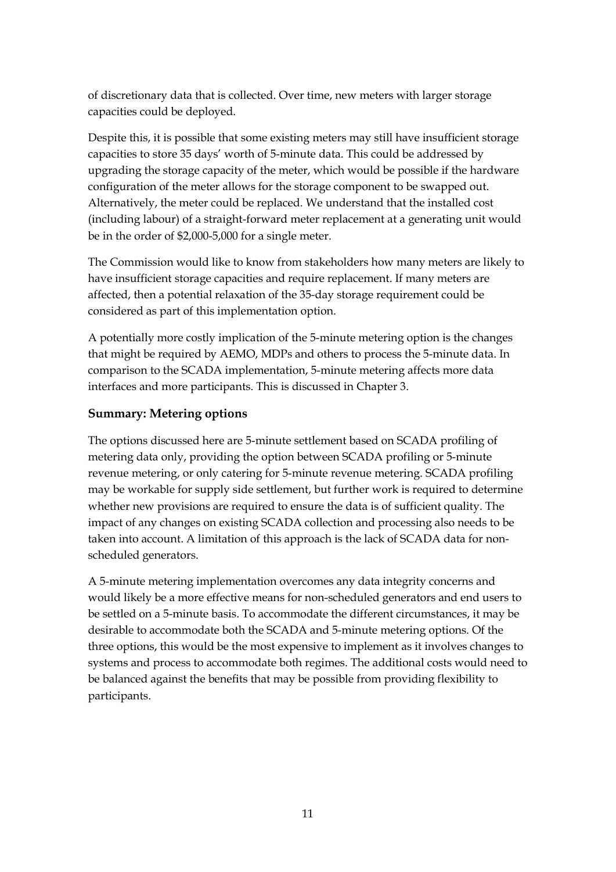of discretionary data that is collected. Over time, new meters with larger storage capacities could be deployed.

Despite this, it is possible that some existing meters may still have insufficient storage capacities to store 35 days' worth of 5-minute data. This could be addressed by upgrading the storage capacity of the meter, which would be possible if the hardware configuration of the meter allows for the storage component to be swapped out. Alternatively, the meter could be replaced. We understand that the installed cost (including labour) of a straight-forward meter replacement at a generating unit would be in the order of \$2,000-5,000 for a single meter.

The Commission would like to know from stakeholders how many meters are likely to have insufficient storage capacities and require replacement. If many meters are affected, then a potential relaxation of the 35-day storage requirement could be considered as part of this implementation option.

A potentially more costly implication of the 5-minute metering option is the changes that might be required by AEMO, MDPs and others to process the 5-minute data. In comparison to the SCADA implementation, 5-minute metering affects more data interfaces and more participants. This is discussed in Chapter 3.

### **Summary: Metering options**

The options discussed here are 5-minute settlement based on SCADA profiling of metering data only, providing the option between SCADA profiling or 5-minute revenue metering, or only catering for 5-minute revenue metering. SCADA profiling may be workable for supply side settlement, but further work is required to determine whether new provisions are required to ensure the data is of sufficient quality. The impact of any changes on existing SCADA collection and processing also needs to be taken into account. A limitation of this approach is the lack of SCADA data for nonscheduled generators.

A 5-minute metering implementation overcomes any data integrity concerns and would likely be a more effective means for non-scheduled generators and end users to be settled on a 5-minute basis. To accommodate the different circumstances, it may be desirable to accommodate both the SCADA and 5-minute metering options. Of the three options, this would be the most expensive to implement as it involves changes to systems and process to accommodate both regimes. The additional costs would need to be balanced against the benefits that may be possible from providing flexibility to participants.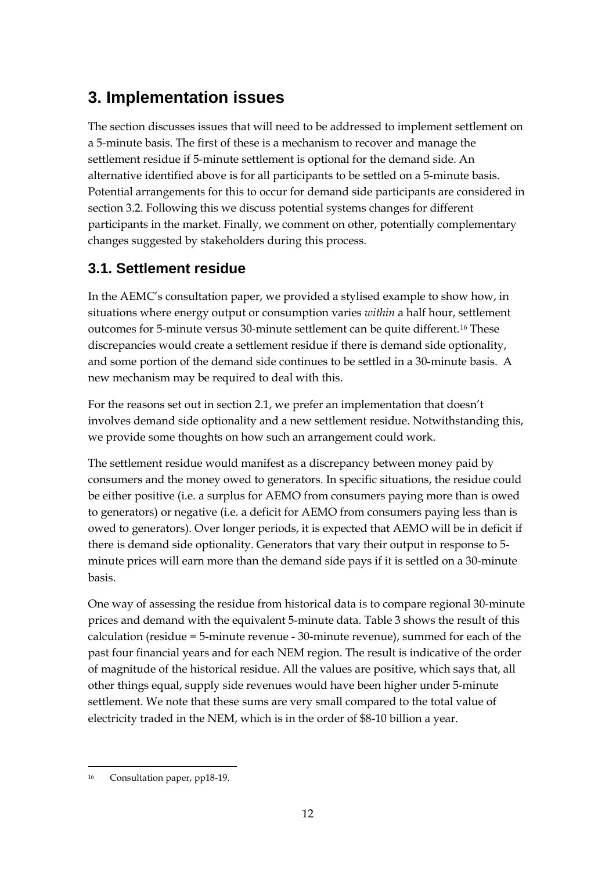# **3. Implementation issues**

The section discusses issues that will need to be addressed to implement settlement on a 5-minute basis. The first of these is a mechanism to recover and manage the settlement residue if 5-minute settlement is optional for the demand side. An alternative identified above is for all participants to be settled on a 5-minute basis. Potential arrangements for this to occur for demand side participants are considered in section 3.2. Following this we discuss potential systems changes for different participants in the market. Finally, we comment on other, potentially complementary changes suggested by stakeholders during this process.

## **3.1. Settlement residue**

In the AEMC's consultation paper, we provided a stylised example to show how, in situations where energy output or consumption varies *within* a half hour, settlement outcomes for 5-minute versus 30-minute settlement can be quite different.[16](#page-11-0) These discrepancies would create a settlement residue if there is demand side optionality, and some portion of the demand side continues to be settled in a 30-minute basis. A new mechanism may be required to deal with this.

For the reasons set out in section 2.1, we prefer an implementation that doesn't involves demand side optionality and a new settlement residue. Notwithstanding this, we provide some thoughts on how such an arrangement could work.

The settlement residue would manifest as a discrepancy between money paid by consumers and the money owed to generators. In specific situations, the residue could be either positive (i.e. a surplus for AEMO from consumers paying more than is owed to generators) or negative (i.e. a deficit for AEMO from consumers paying less than is owed to generators). Over longer periods, it is expected that AEMO will be in deficit if there is demand side optionality. Generators that vary their output in response to 5 minute prices will earn more than the demand side pays if it is settled on a 30-minute basis.

One way of assessing the residue from historical data is to compare regional 30-minute prices and demand with the equivalent 5-minute data. [Table 3](#page-12-0) shows the result of this calculation (residue = 5-minute revenue - 30-minute revenue), summed for each of the past four financial years and for each NEM region. The result is indicative of the order of magnitude of the historical residue. All the values are positive, which says that, all other things equal, supply side revenues would have been higher under 5-minute settlement. We note that these sums are very small compared to the total value of electricity traded in the NEM, which is in the order of \$8-10 billion a year.

<span id="page-11-0"></span> <sup>16</sup> Consultation paper, pp18-19.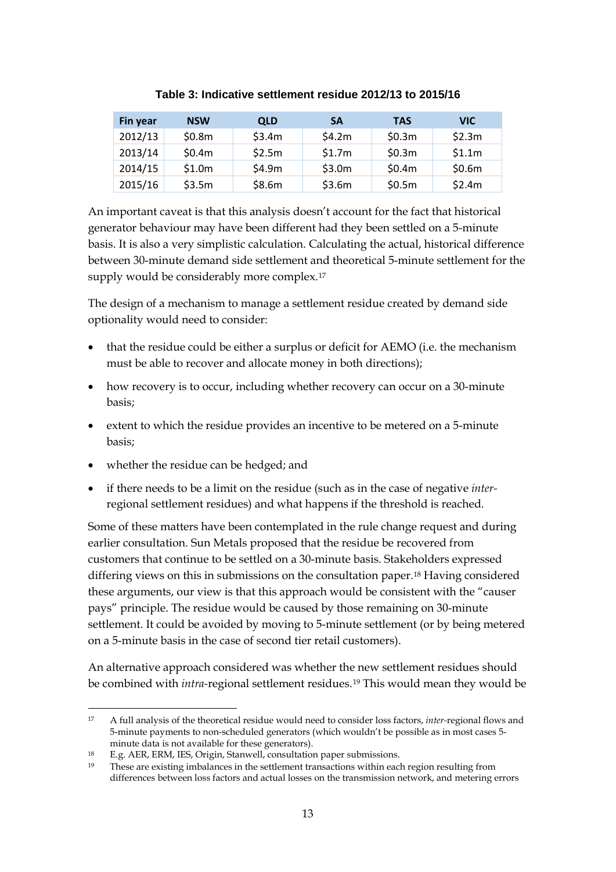<span id="page-12-0"></span>

| Fin year | <b>NSW</b> | <b>QLD</b> | <b>SA</b> | <b>TAS</b> | VIC.   |
|----------|------------|------------|-----------|------------|--------|
| 2012/13  | \$0.8m     | \$3.4m     | \$4.2m    | \$0.3m     | \$2.3m |
| 2013/14  | \$0.4m     | \$2.5m     | \$1.7m    | \$0.3m     | \$1.1m |
| 2014/15  | \$1.0m     | \$4.9m     | \$3.0m    | \$0.4m     | \$0.6m |
| 2015/16  | \$3.5m     | \$8.6m     | \$3.6m    | \$0.5m     | \$2.4m |

#### **Table 3: Indicative settlement residue 2012/13 to 2015/16**

An important caveat is that this analysis doesn't account for the fact that historical generator behaviour may have been different had they been settled on a 5-minute basis. It is also a very simplistic calculation. Calculating the actual, historical difference between 30-minute demand side settlement and theoretical 5-minute settlement for the supply would be considerably more complex.<sup>[17](#page-12-1)</sup>

The design of a mechanism to manage a settlement residue created by demand side optionality would need to consider:

- that the residue could be either a surplus or deficit for AEMO (i.e. the mechanism must be able to recover and allocate money in both directions);
- how recovery is to occur, including whether recovery can occur on a 30-minute basis;
- extent to which the residue provides an incentive to be metered on a 5-minute basis;
- whether the residue can be hedged; and
- if there needs to be a limit on the residue (such as in the case of negative *inter*regional settlement residues) and what happens if the threshold is reached.

Some of these matters have been contemplated in the rule change request and during earlier consultation. Sun Metals proposed that the residue be recovered from customers that continue to be settled on a 30-minute basis. Stakeholders expressed differing views on this in submissions on the consultation paper.[18](#page-12-2) Having considered these arguments, our view is that this approach would be consistent with the "causer pays" principle. The residue would be caused by those remaining on 30-minute settlement. It could be avoided by moving to 5-minute settlement (or by being metered on a 5-minute basis in the case of second tier retail customers).

An alternative approach considered was whether the new settlement residues should be combined with *intra-*regional settlement residues.[19](#page-12-3) This would mean they would be

<span id="page-12-1"></span> <sup>17</sup> A full analysis of the theoretical residue would need to consider loss factors, *inter-*regional flows and 5-minute payments to non-scheduled generators (which wouldn't be possible as in most cases 5 minute data is not available for these generators).

<sup>18</sup> E.g. AER, ERM, IES, Origin, Stanwell, consultation paper submissions.

<span id="page-12-3"></span><span id="page-12-2"></span><sup>19</sup> These are existing imbalances in the settlement transactions within each region resulting from differences between loss factors and actual losses on the transmission network, and metering errors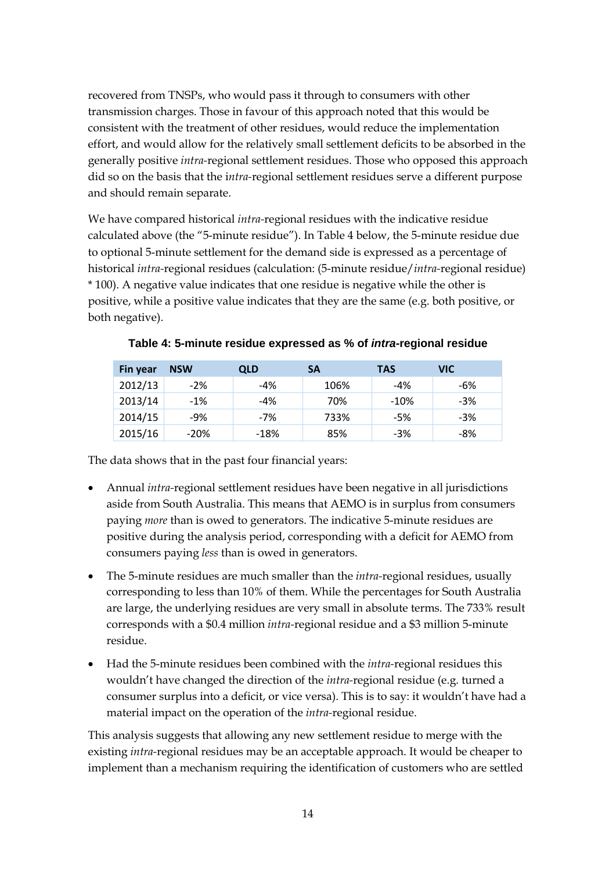recovered from TNSPs, who would pass it through to consumers with other transmission charges. Those in favour of this approach noted that this would be consistent with the treatment of other residues, would reduce the implementation effort, and would allow for the relatively small settlement deficits to be absorbed in the generally positive *intra-*regional settlement residues. Those who opposed this approach did so on the basis that the i*ntra-*regional settlement residues serve a different purpose and should remain separate.

We have compared historical *intra-*regional residues with the indicative residue calculated above (the "5-minute residue"). In [Table 4](#page-13-0) below, the 5-minute residue due to optional 5-minute settlement for the demand side is expressed as a percentage of historical *intra-*regional residues (calculation: (5-minute residue/*intra-*regional residue) \* 100). A negative value indicates that one residue is negative while the other is positive, while a positive value indicates that they are the same (e.g. both positive, or both negative).

<span id="page-13-0"></span>

| Fin year | <b>NSW</b> | <b>QLD</b> | <b>SA</b> | <b>TAS</b> | VIC.  |
|----------|------------|------------|-----------|------------|-------|
| 2012/13  | $-2%$      | -4%        | 106%      | $-4%$      | -6%   |
| 2013/14  | $-1\%$     | -4%        | 70%       | $-10%$     | -3%   |
| 2014/15  | -9%        | -7%        | 733%      | -5%        | $-3%$ |
| 2015/16  | $-20%$     | $-18%$     | 85%       | $-3%$      | -8%   |

| Table 4: 5-minute residue expressed as % of <i>intra-</i> regional residue |  |
|----------------------------------------------------------------------------|--|
|                                                                            |  |

The data shows that in the past four financial years:

- Annual *intra-*regional settlement residues have been negative in all jurisdictions aside from South Australia. This means that AEMO is in surplus from consumers paying *more* than is owed to generators. The indicative 5-minute residues are positive during the analysis period, corresponding with a deficit for AEMO from consumers paying *less* than is owed in generators.
- The 5-minute residues are much smaller than the *intra-*regional residues, usually corresponding to less than 10% of them. While the percentages for South Australia are large, the underlying residues are very small in absolute terms. The 733% result corresponds with a \$0.4 million *intra-*regional residue and a \$3 million 5-minute residue.
- Had the 5-minute residues been combined with the *intra-*regional residues this wouldn't have changed the direction of the *intra-*regional residue (e.g. turned a consumer surplus into a deficit, or vice versa). This is to say: it wouldn't have had a material impact on the operation of the *intra-*regional residue.

This analysis suggests that allowing any new settlement residue to merge with the existing *intra-*regional residues may be an acceptable approach. It would be cheaper to implement than a mechanism requiring the identification of customers who are settled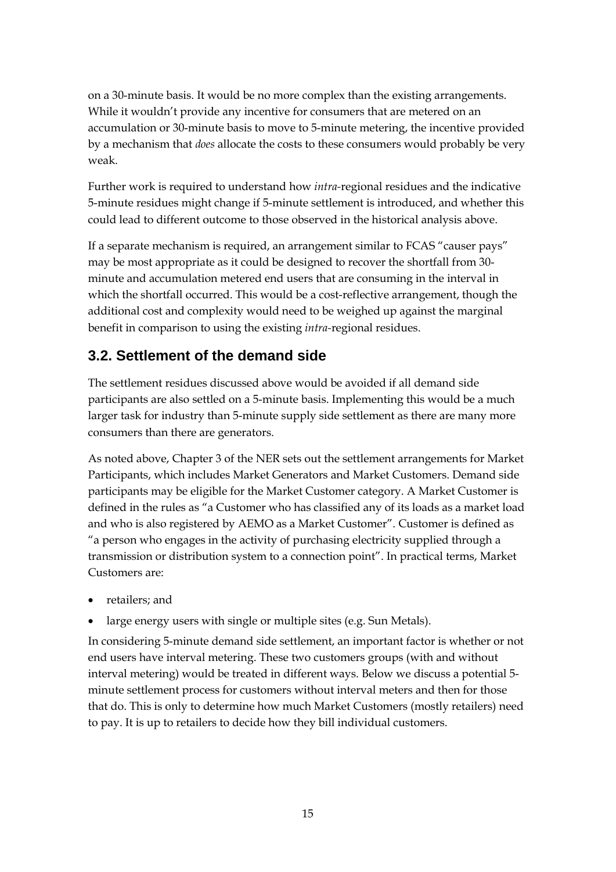on a 30-minute basis. It would be no more complex than the existing arrangements. While it wouldn't provide any incentive for consumers that are metered on an accumulation or 30-minute basis to move to 5-minute metering, the incentive provided by a mechanism that *does* allocate the costs to these consumers would probably be very weak.

Further work is required to understand how *intra-*regional residues and the indicative 5-minute residues might change if 5-minute settlement is introduced, and whether this could lead to different outcome to those observed in the historical analysis above.

If a separate mechanism is required, an arrangement similar to FCAS "causer pays" may be most appropriate as it could be designed to recover the shortfall from 30 minute and accumulation metered end users that are consuming in the interval in which the shortfall occurred. This would be a cost-reflective arrangement, though the additional cost and complexity would need to be weighed up against the marginal benefit in comparison to using the existing *intra-*regional residues.

## **3.2. Settlement of the demand side**

The settlement residues discussed above would be avoided if all demand side participants are also settled on a 5-minute basis. Implementing this would be a much larger task for industry than 5-minute supply side settlement as there are many more consumers than there are generators.

As noted above, Chapter 3 of the NER sets out the settlement arrangements for Market Participants, which includes Market Generators and Market Customers. Demand side participants may be eligible for the Market Customer category. A Market Customer is defined in the rules as "a Customer who has classified any of its loads as a market load and who is also registered by AEMO as a Market Customer". Customer is defined as "a person who engages in the activity of purchasing electricity supplied through a transmission or distribution system to a connection point". In practical terms, Market Customers are:

- retailers; and
- large energy users with single or multiple sites (e.g. Sun Metals).

In considering 5-minute demand side settlement, an important factor is whether or not end users have interval metering. These two customers groups (with and without interval metering) would be treated in different ways. Below we discuss a potential 5 minute settlement process for customers without interval meters and then for those that do. This is only to determine how much Market Customers (mostly retailers) need to pay. It is up to retailers to decide how they bill individual customers.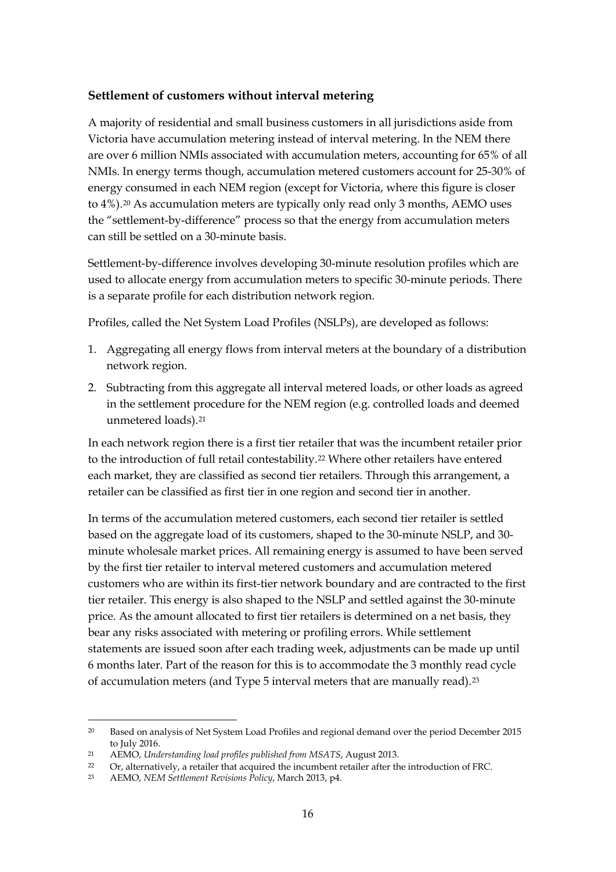#### **Settlement of customers without interval metering**

A majority of residential and small business customers in all jurisdictions aside from Victoria have accumulation metering instead of interval metering. In the NEM there are over 6 million NMIs associated with accumulation meters, accounting for 65% of all NMIs. In energy terms though, accumulation metered customers account for 25-30% of energy consumed in each NEM region (except for Victoria, where this figure is closer to 4%).[20](#page-15-0) As accumulation meters are typically only read only 3 months, AEMO uses the "settlement-by-difference" process so that the energy from accumulation meters can still be settled on a 30-minute basis.

Settlement-by-difference involves developing 30-minute resolution profiles which are used to allocate energy from accumulation meters to specific 30-minute periods. There is a separate profile for each distribution network region.

Profiles, called the Net System Load Profiles (NSLPs), are developed as follows:

- 1. Aggregating all energy flows from interval meters at the boundary of a distribution network region.
- 2. Subtracting from this aggregate all interval metered loads, or other loads as agreed in the settlement procedure for the NEM region (e.g. controlled loads and deemed unmetered loads).[21](#page-15-1)

In each network region there is a first tier retailer that was the incumbent retailer prior to the introduction of full retail contestability.<sup>22</sup> Where other retailers have entered each market, they are classified as second tier retailers. Through this arrangement, a retailer can be classified as first tier in one region and second tier in another.

In terms of the accumulation metered customers, each second tier retailer is settled based on the aggregate load of its customers, shaped to the 30-minute NSLP, and 30 minute wholesale market prices. All remaining energy is assumed to have been served by the first tier retailer to interval metered customers and accumulation metered customers who are within its first-tier network boundary and are contracted to the first tier retailer. This energy is also shaped to the NSLP and settled against the 30-minute price. As the amount allocated to first tier retailers is determined on a net basis, they bear any risks associated with metering or profiling errors. While settlement statements are issued soon after each trading week, adjustments can be made up until 6 months later. Part of the reason for this is to accommodate the 3 monthly read cycle of accumulation meters (and Type 5 interval meters that are manually read).[23](#page-15-3)

<span id="page-15-0"></span> <sup>20</sup> Based on analysis of Net System Load Profiles and regional demand over the period December 2015 to July 2016.

<span id="page-15-1"></span><sup>21</sup> AEMO, *Understanding load profiles published from MSATS*, August 2013.

<span id="page-15-3"></span><span id="page-15-2"></span><sup>22</sup> Or, alternatively, a retailer that acquired the incumbent retailer after the introduction of FRC.<br>A EMO NEM Settlement Benicious Bolicu March 2013 p1

<sup>23</sup> AEMO, *NEM Settlement Revisions Policy*, March 2013, p4.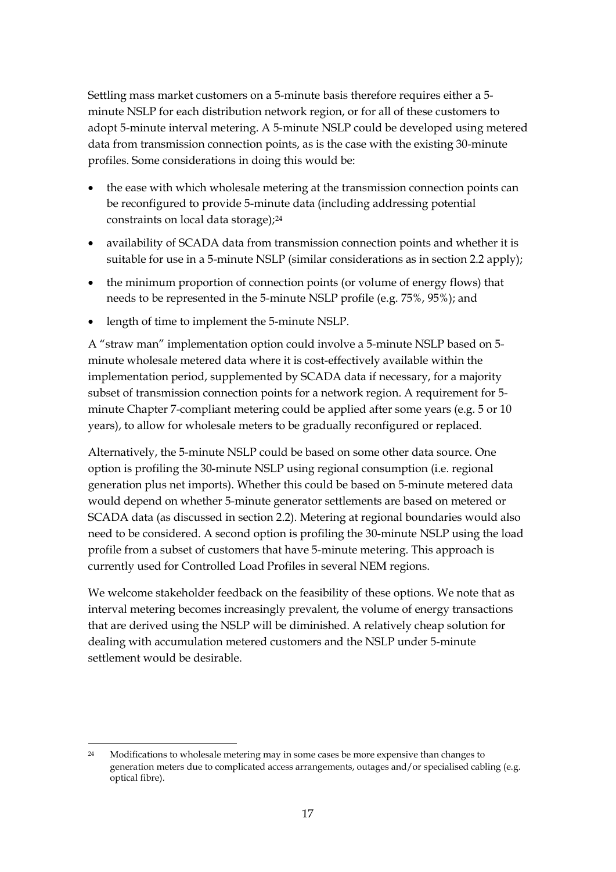Settling mass market customers on a 5-minute basis therefore requires either a 5 minute NSLP for each distribution network region, or for all of these customers to adopt 5-minute interval metering. A 5-minute NSLP could be developed using metered data from transmission connection points, as is the case with the existing 30-minute profiles. Some considerations in doing this would be:

- the ease with which wholesale metering at the transmission connection points can be reconfigured to provide 5-minute data (including addressing potential constraints on local data storage);<sup>[24](#page-16-0)</sup>
- availability of SCADA data from transmission connection points and whether it is suitable for use in a 5-minute NSLP (similar considerations as in section 2.2 apply);
- the minimum proportion of connection points (or volume of energy flows) that needs to be represented in the 5-minute NSLP profile (e.g. 75%, 95%); and
- length of time to implement the 5-minute NSLP.

A "straw man" implementation option could involve a 5-minute NSLP based on 5 minute wholesale metered data where it is cost-effectively available within the implementation period, supplemented by SCADA data if necessary, for a majority subset of transmission connection points for a network region. A requirement for 5 minute Chapter 7-compliant metering could be applied after some years (e.g. 5 or 10 years), to allow for wholesale meters to be gradually reconfigured or replaced.

Alternatively, the 5-minute NSLP could be based on some other data source. One option is profiling the 30-minute NSLP using regional consumption (i.e. regional generation plus net imports). Whether this could be based on 5-minute metered data would depend on whether 5-minute generator settlements are based on metered or SCADA data (as discussed in section 2.2). Metering at regional boundaries would also need to be considered. A second option is profiling the 30-minute NSLP using the load profile from a subset of customers that have 5-minute metering. This approach is currently used for Controlled Load Profiles in several NEM regions.

We welcome stakeholder feedback on the feasibility of these options. We note that as interval metering becomes increasingly prevalent, the volume of energy transactions that are derived using the NSLP will be diminished. A relatively cheap solution for dealing with accumulation metered customers and the NSLP under 5-minute settlement would be desirable.

<span id="page-16-0"></span><sup>&</sup>lt;sup>24</sup> Modifications to wholesale metering may in some cases be more expensive than changes to generation meters due to complicated access arrangements, outages and/or specialised cabling (e.g. optical fibre).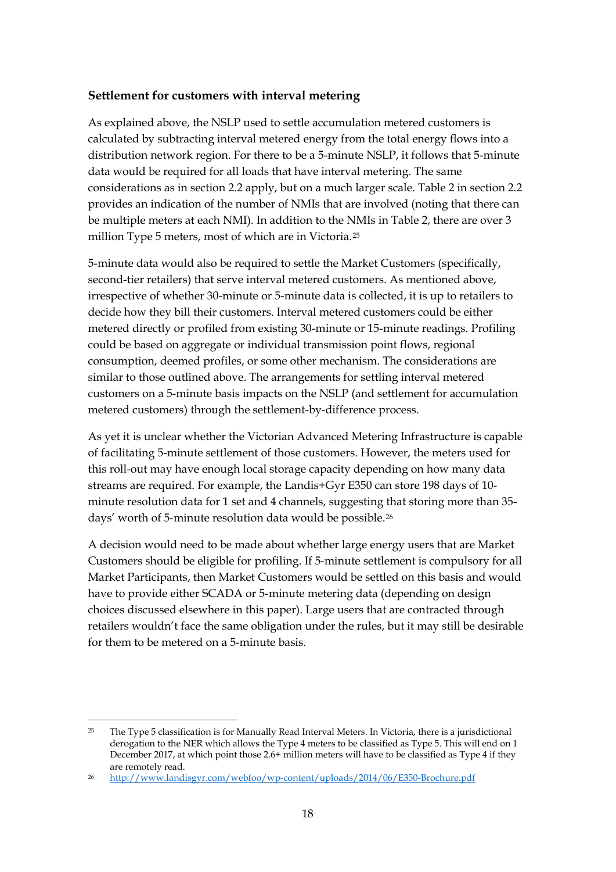#### **Settlement for customers with interval metering**

As explained above, the NSLP used to settle accumulation metered customers is calculated by subtracting interval metered energy from the total energy flows into a distribution network region. For there to be a 5-minute NSLP, it follows that 5-minute data would be required for all loads that have interval metering. The same considerations as in section 2.2 apply, but on a much larger scale. Table 2 in section 2.2 provides an indication of the number of NMIs that are involved (noting that there can be multiple meters at each NMI). In addition to the NMIs in Table 2, there are over 3 million Type 5 meters, most of which are in Victoria.[25](#page-17-0)

5-minute data would also be required to settle the Market Customers (specifically, second-tier retailers) that serve interval metered customers. As mentioned above, irrespective of whether 30-minute or 5-minute data is collected, it is up to retailers to decide how they bill their customers. Interval metered customers could be either metered directly or profiled from existing 30-minute or 15-minute readings. Profiling could be based on aggregate or individual transmission point flows, regional consumption, deemed profiles, or some other mechanism. The considerations are similar to those outlined above. The arrangements for settling interval metered customers on a 5-minute basis impacts on the NSLP (and settlement for accumulation metered customers) through the settlement-by-difference process.

As yet it is unclear whether the Victorian Advanced Metering Infrastructure is capable of facilitating 5-minute settlement of those customers. However, the meters used for this roll-out may have enough local storage capacity depending on how many data streams are required. For example, the Landis+Gyr E350 can store 198 days of 10 minute resolution data for 1 set and 4 channels, suggesting that storing more than 35 days' worth of 5-minute resolution data would be possible.[26](#page-17-1)

A decision would need to be made about whether large energy users that are Market Customers should be eligible for profiling. If 5-minute settlement is compulsory for all Market Participants, then Market Customers would be settled on this basis and would have to provide either SCADA or 5-minute metering data (depending on design choices discussed elsewhere in this paper). Large users that are contracted through retailers wouldn't face the same obligation under the rules, but it may still be desirable for them to be metered on a 5-minute basis.

<span id="page-17-0"></span> <sup>25</sup> The Type 5 classification is for Manually Read Interval Meters. In Victoria, there is a jurisdictional derogation to the NER which allows the Type 4 meters to be classified as Type 5. This will end on 1 December 2017, at which point those 2.6+ million meters will have to be classified as Type 4 if they are remotely read.

<span id="page-17-1"></span><sup>26</sup> <http://www.landisgyr.com/webfoo/wp-content/uploads/2014/06/E350-Brochure.pdf>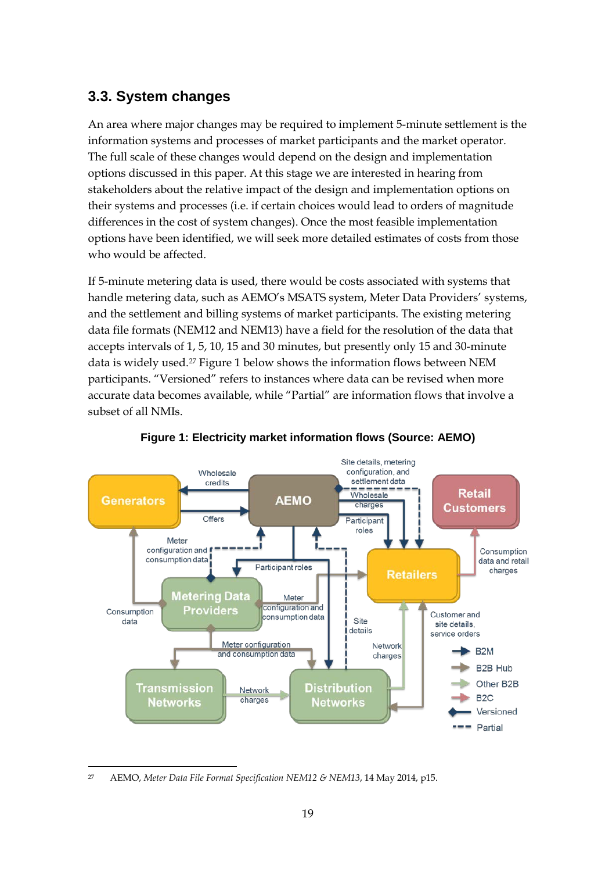## **3.3. System changes**

An area where major changes may be required to implement 5-minute settlement is the information systems and processes of market participants and the market operator. The full scale of these changes would depend on the design and implementation options discussed in this paper. At this stage we are interested in hearing from stakeholders about the relative impact of the design and implementation options on their systems and processes (i.e. if certain choices would lead to orders of magnitude differences in the cost of system changes). Once the most feasible implementation options have been identified, we will seek more detailed estimates of costs from those who would be affected.

If 5-minute metering data is used, there would be costs associated with systems that handle metering data, such as AEMO's MSATS system, Meter Data Providers' systems, and the settlement and billing systems of market participants. The existing metering data file formats (NEM12 and NEM13) have a field for the resolution of the data that accepts intervals of 1, 5, 10, 15 and 30 minutes, but presently only 15 and 30-minute data is widely used.[27](#page-18-1) [Figure 1](#page-18-0) below shows the information flows between NEM participants. "Versioned" refers to instances where data can be revised when more accurate data becomes available, while "Partial" are information flows that involve a subset of all NMIs.

<span id="page-18-0"></span>

#### **Figure 1: Electricity market information flows (Source: AEMO)**

<span id="page-18-1"></span> <sup>27</sup> AEMO, *Meter Data File Format Specification NEM12 & NEM13*, 14 May 2014, p15.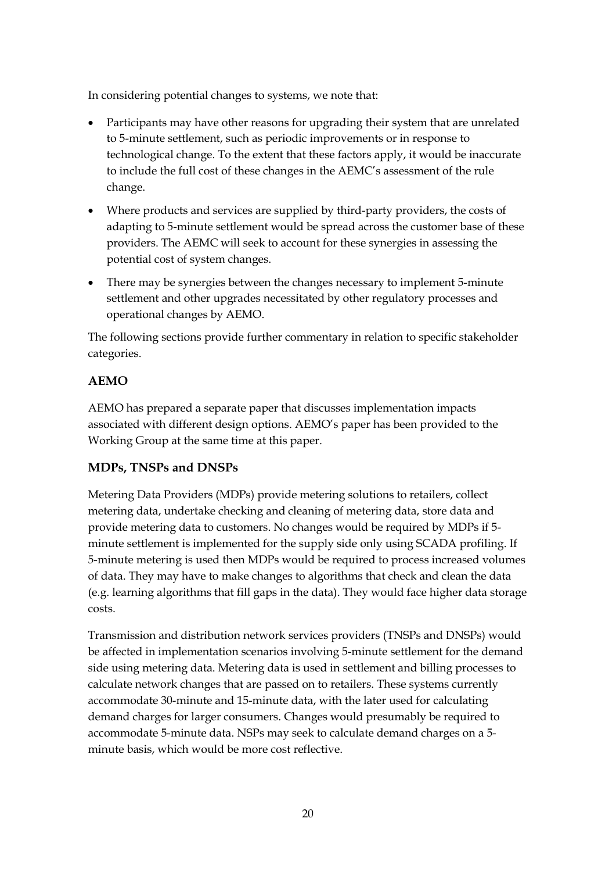In considering potential changes to systems, we note that:

- Participants may have other reasons for upgrading their system that are unrelated to 5-minute settlement, such as periodic improvements or in response to technological change. To the extent that these factors apply, it would be inaccurate to include the full cost of these changes in the AEMC's assessment of the rule change.
- Where products and services are supplied by third-party providers, the costs of adapting to 5-minute settlement would be spread across the customer base of these providers. The AEMC will seek to account for these synergies in assessing the potential cost of system changes.
- There may be synergies between the changes necessary to implement 5-minute settlement and other upgrades necessitated by other regulatory processes and operational changes by AEMO.

The following sections provide further commentary in relation to specific stakeholder categories.

### **AEMO**

AEMO has prepared a separate paper that discusses implementation impacts associated with different design options. AEMO's paper has been provided to the Working Group at the same time at this paper.

### **MDPs, TNSPs and DNSPs**

Metering Data Providers (MDPs) provide metering solutions to retailers, collect metering data, undertake checking and cleaning of metering data, store data and provide metering data to customers. No changes would be required by MDPs if 5 minute settlement is implemented for the supply side only using SCADA profiling. If 5-minute metering is used then MDPs would be required to process increased volumes of data. They may have to make changes to algorithms that check and clean the data (e.g. learning algorithms that fill gaps in the data). They would face higher data storage costs.

Transmission and distribution network services providers (TNSPs and DNSPs) would be affected in implementation scenarios involving 5-minute settlement for the demand side using metering data. Metering data is used in settlement and billing processes to calculate network changes that are passed on to retailers. These systems currently accommodate 30-minute and 15-minute data, with the later used for calculating demand charges for larger consumers. Changes would presumably be required to accommodate 5-minute data. NSPs may seek to calculate demand charges on a 5 minute basis, which would be more cost reflective.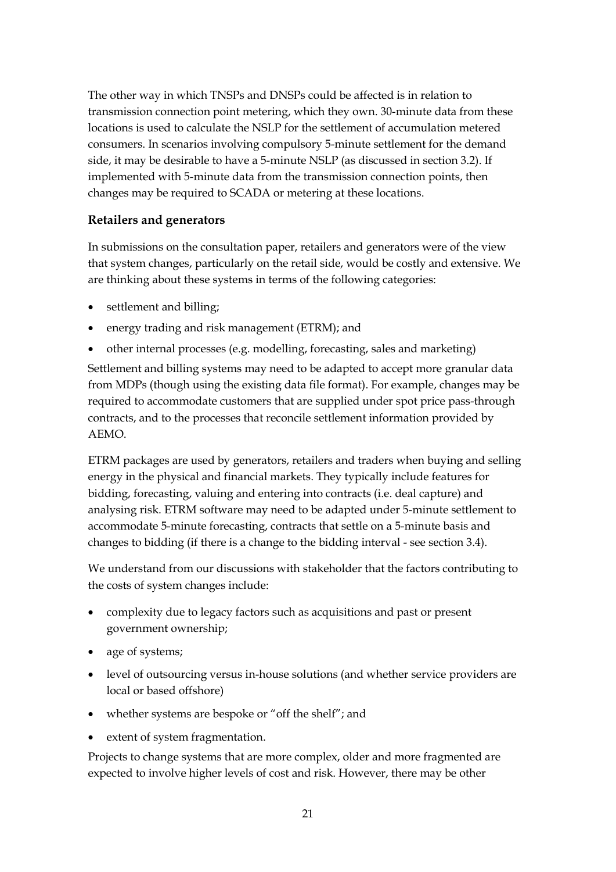The other way in which TNSPs and DNSPs could be affected is in relation to transmission connection point metering, which they own. 30-minute data from these locations is used to calculate the NSLP for the settlement of accumulation metered consumers. In scenarios involving compulsory 5-minute settlement for the demand side, it may be desirable to have a 5-minute NSLP (as discussed in section 3.2). If implemented with 5-minute data from the transmission connection points, then changes may be required to SCADA or metering at these locations.

### **Retailers and generators**

In submissions on the consultation paper, retailers and generators were of the view that system changes, particularly on the retail side, would be costly and extensive. We are thinking about these systems in terms of the following categories:

- settlement and billing;
- energy trading and risk management (ETRM); and
- other internal processes (e.g. modelling, forecasting, sales and marketing)

Settlement and billing systems may need to be adapted to accept more granular data from MDPs (though using the existing data file format). For example, changes may be required to accommodate customers that are supplied under spot price pass-through contracts, and to the processes that reconcile settlement information provided by AEMO.

ETRM packages are used by generators, retailers and traders when buying and selling energy in the physical and financial markets. They typically include features for bidding, forecasting, valuing and entering into contracts (i.e. deal capture) and analysing risk. ETRM software may need to be adapted under 5-minute settlement to accommodate 5-minute forecasting, contracts that settle on a 5-minute basis and changes to bidding (if there is a change to the bidding interval - see section 3.4).

We understand from our discussions with stakeholder that the factors contributing to the costs of system changes include:

- complexity due to legacy factors such as acquisitions and past or present government ownership;
- age of systems;
- level of outsourcing versus in-house solutions (and whether service providers are local or based offshore)
- whether systems are bespoke or "off the shelf"; and
- extent of system fragmentation.

Projects to change systems that are more complex, older and more fragmented are expected to involve higher levels of cost and risk. However, there may be other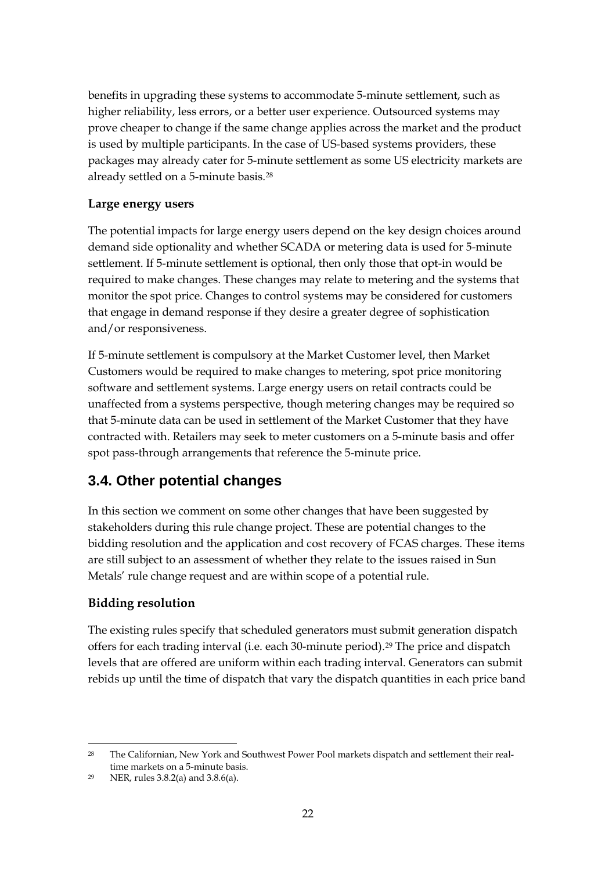benefits in upgrading these systems to accommodate 5-minute settlement, such as higher reliability, less errors, or a better user experience. Outsourced systems may prove cheaper to change if the same change applies across the market and the product is used by multiple participants. In the case of US-based systems providers, these packages may already cater for 5-minute settlement as some US electricity markets are already settled on a 5-minute basis.[28](#page-21-0)

### **Large energy users**

The potential impacts for large energy users depend on the key design choices around demand side optionality and whether SCADA or metering data is used for 5-minute settlement. If 5-minute settlement is optional, then only those that opt-in would be required to make changes. These changes may relate to metering and the systems that monitor the spot price. Changes to control systems may be considered for customers that engage in demand response if they desire a greater degree of sophistication and/or responsiveness.

If 5-minute settlement is compulsory at the Market Customer level, then Market Customers would be required to make changes to metering, spot price monitoring software and settlement systems. Large energy users on retail contracts could be unaffected from a systems perspective, though metering changes may be required so that 5-minute data can be used in settlement of the Market Customer that they have contracted with. Retailers may seek to meter customers on a 5-minute basis and offer spot pass-through arrangements that reference the 5-minute price.

## **3.4. Other potential changes**

In this section we comment on some other changes that have been suggested by stakeholders during this rule change project. These are potential changes to the bidding resolution and the application and cost recovery of FCAS charges. These items are still subject to an assessment of whether they relate to the issues raised in Sun Metals' rule change request and are within scope of a potential rule.

### **Bidding resolution**

The existing rules specify that scheduled generators must submit generation dispatch offers for each trading interval (i.e. each 30-minute period)[.29](#page-21-1) The price and dispatch levels that are offered are uniform within each trading interval. Generators can submit rebids up until the time of dispatch that vary the dispatch quantities in each price band

<span id="page-21-0"></span> <sup>28</sup> The Californian, New York and Southwest Power Pool markets dispatch and settlement their realtime markets on a 5-minute basis.

<span id="page-21-1"></span><sup>29</sup> NER, rules 3.8.2(a) and 3.8.6(a).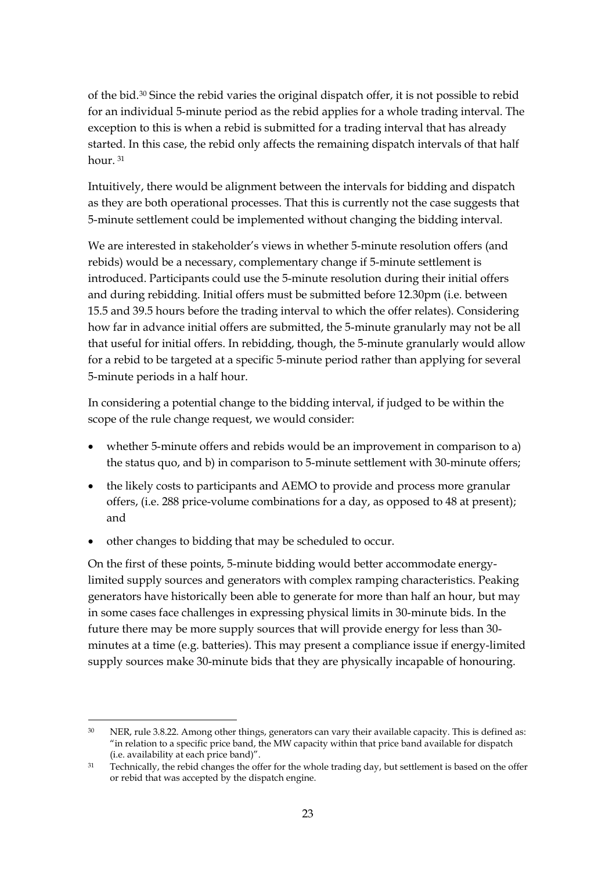of the bid.[30](#page-22-0) Since the rebid varies the original dispatch offer, it is not possible to rebid for an individual 5-minute period as the rebid applies for a whole trading interval. The exception to this is when a rebid is submitted for a trading interval that has already started. In this case, the rebid only affects the remaining dispatch intervals of that half hour. [31](#page-22-1)

Intuitively, there would be alignment between the intervals for bidding and dispatch as they are both operational processes. That this is currently not the case suggests that 5-minute settlement could be implemented without changing the bidding interval.

We are interested in stakeholder's views in whether 5-minute resolution offers (and rebids) would be a necessary, complementary change if 5-minute settlement is introduced. Participants could use the 5-minute resolution during their initial offers and during rebidding. Initial offers must be submitted before 12.30pm (i.e. between 15.5 and 39.5 hours before the trading interval to which the offer relates). Considering how far in advance initial offers are submitted, the 5-minute granularly may not be all that useful for initial offers. In rebidding, though, the 5-minute granularly would allow for a rebid to be targeted at a specific 5-minute period rather than applying for several 5-minute periods in a half hour.

In considering a potential change to the bidding interval, if judged to be within the scope of the rule change request, we would consider:

- whether 5-minute offers and rebids would be an improvement in comparison to a) the status quo, and b) in comparison to 5-minute settlement with 30-minute offers;
- the likely costs to participants and AEMO to provide and process more granular offers, (i.e. 288 price-volume combinations for a day, as opposed to 48 at present); and
- other changes to bidding that may be scheduled to occur.

On the first of these points, 5-minute bidding would better accommodate energylimited supply sources and generators with complex ramping characteristics. Peaking generators have historically been able to generate for more than half an hour, but may in some cases face challenges in expressing physical limits in 30-minute bids. In the future there may be more supply sources that will provide energy for less than 30 minutes at a time (e.g. batteries). This may present a compliance issue if energy-limited supply sources make 30-minute bids that they are physically incapable of honouring.

<span id="page-22-0"></span><sup>&</sup>lt;sup>30</sup> NER, rule 3.8.22. Among other things, generators can vary their available capacity. This is defined as: "in relation to a specific price band, the MW capacity within that price band available for dispatch (i.e. availability at each price band)".

<span id="page-22-1"></span><sup>&</sup>lt;sup>31</sup> Technically, the rebid changes the offer for the whole trading day, but settlement is based on the offer or rebid that was accepted by the dispatch engine.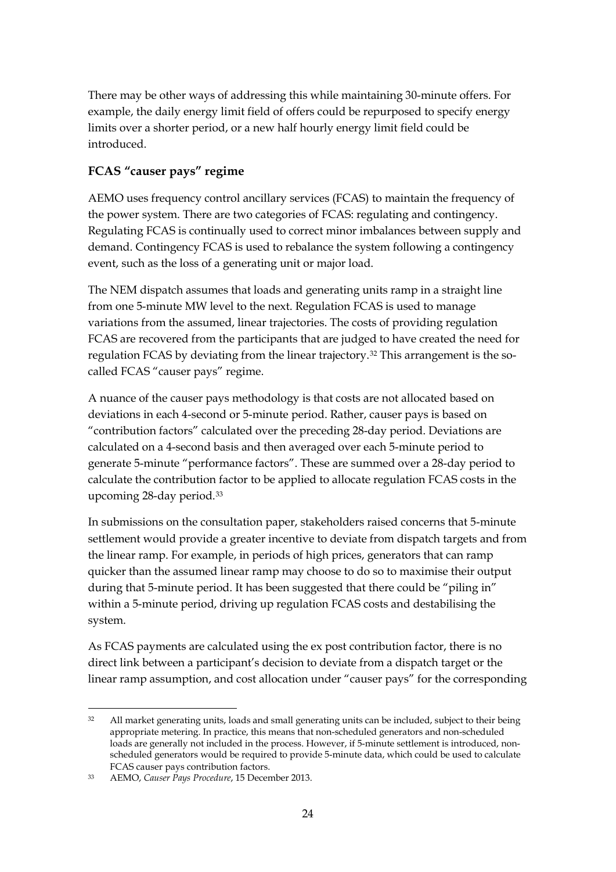There may be other ways of addressing this while maintaining 30-minute offers. For example, the daily energy limit field of offers could be repurposed to specify energy limits over a shorter period, or a new half hourly energy limit field could be introduced.

## **FCAS "causer pays" regime**

AEMO uses frequency control ancillary services (FCAS) to maintain the frequency of the power system. There are two categories of FCAS: regulating and contingency. Regulating FCAS is continually used to correct minor imbalances between supply and demand. Contingency FCAS is used to rebalance the system following a contingency event, such as the loss of a generating unit or major load.

The NEM dispatch assumes that loads and generating units ramp in a straight line from one 5-minute MW level to the next. Regulation FCAS is used to manage variations from the assumed, linear trajectories. The costs of providing regulation FCAS are recovered from the participants that are judged to have created the need for regulation FCAS by deviating from the linear trajectory.[32](#page-23-0) This arrangement is the socalled FCAS "causer pays" regime.

A nuance of the causer pays methodology is that costs are not allocated based on deviations in each 4-second or 5-minute period. Rather, causer pays is based on "contribution factors" calculated over the preceding 28-day period. Deviations are calculated on a 4-second basis and then averaged over each 5-minute period to generate 5-minute "performance factors". These are summed over a 28-day period to calculate the contribution factor to be applied to allocate regulation FCAS costs in the upcoming 28-day period.[33](#page-23-1)

In submissions on the consultation paper, stakeholders raised concerns that 5-minute settlement would provide a greater incentive to deviate from dispatch targets and from the linear ramp. For example, in periods of high prices, generators that can ramp quicker than the assumed linear ramp may choose to do so to maximise their output during that 5-minute period. It has been suggested that there could be "piling in" within a 5-minute period, driving up regulation FCAS costs and destabilising the system.

As FCAS payments are calculated using the ex post contribution factor, there is no direct link between a participant's decision to deviate from a dispatch target or the linear ramp assumption, and cost allocation under "causer pays" for the corresponding

<span id="page-23-0"></span> <sup>32</sup> All market generating units, loads and small generating units can be included, subject to their being appropriate metering. In practice, this means that non-scheduled generators and non-scheduled loads are generally not included in the process. However, if 5-minute settlement is introduced, nonscheduled generators would be required to provide 5-minute data, which could be used to calculate FCAS causer pays contribution factors.

<span id="page-23-1"></span><sup>33</sup> AEMO, *Causer Pays Procedure*, 15 December 2013.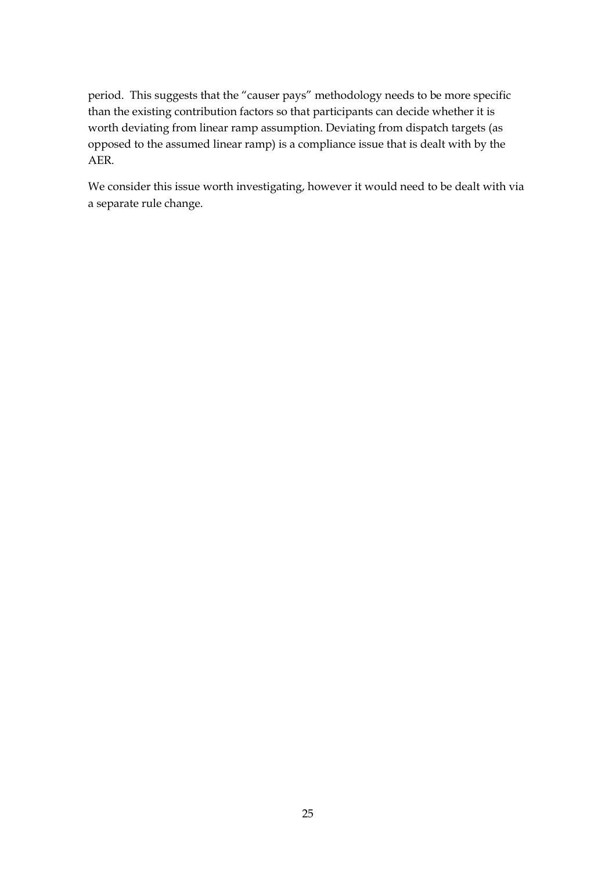period. This suggests that the "causer pays" methodology needs to be more specific than the existing contribution factors so that participants can decide whether it is worth deviating from linear ramp assumption. Deviating from dispatch targets (as opposed to the assumed linear ramp) is a compliance issue that is dealt with by the AER.

We consider this issue worth investigating, however it would need to be dealt with via a separate rule change.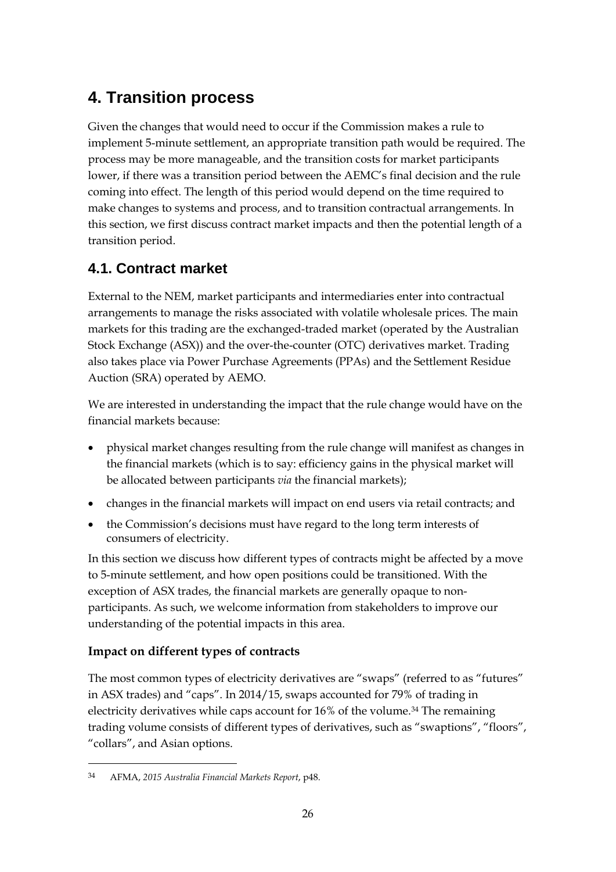# **4. Transition process**

Given the changes that would need to occur if the Commission makes a rule to implement 5-minute settlement, an appropriate transition path would be required. The process may be more manageable, and the transition costs for market participants lower, if there was a transition period between the AEMC's final decision and the rule coming into effect. The length of this period would depend on the time required to make changes to systems and process, and to transition contractual arrangements. In this section, we first discuss contract market impacts and then the potential length of a transition period.

## **4.1. Contract market**

External to the NEM, market participants and intermediaries enter into contractual arrangements to manage the risks associated with volatile wholesale prices. The main markets for this trading are the exchanged-traded market (operated by the Australian Stock Exchange (ASX)) and the over-the-counter (OTC) derivatives market. Trading also takes place via Power Purchase Agreements (PPAs) and the Settlement Residue Auction (SRA) operated by AEMO.

We are interested in understanding the impact that the rule change would have on the financial markets because:

- physical market changes resulting from the rule change will manifest as changes in the financial markets (which is to say: efficiency gains in the physical market will be allocated between participants *via* the financial markets);
- changes in the financial markets will impact on end users via retail contracts; and
- the Commission's decisions must have regard to the long term interests of consumers of electricity.

In this section we discuss how different types of contracts might be affected by a move to 5-minute settlement, and how open positions could be transitioned. With the exception of ASX trades, the financial markets are generally opaque to nonparticipants. As such, we welcome information from stakeholders to improve our understanding of the potential impacts in this area.

### **Impact on different types of contracts**

The most common types of electricity derivatives are "swaps" (referred to as "futures" in ASX trades) and "caps". In 2014/15, swaps accounted for 79% of trading in electricity derivatives while caps account for 16% of the volume.<sup>[34](#page-25-0)</sup> The remaining trading volume consists of different types of derivatives, such as "swaptions", "floors", "collars", and Asian options.

<u>.</u>

<span id="page-25-0"></span><sup>34</sup> AFMA, *2015 Australia Financial Markets Report*, p48.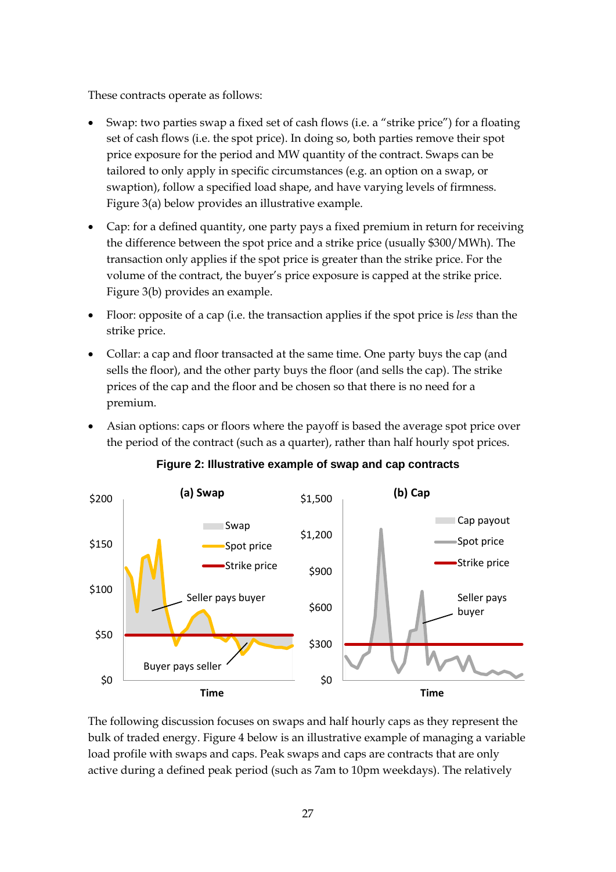These contracts operate as follows:

- Swap: two parties swap a fixed set of cash flows (i.e. a "strike price") for a floating set of cash flows (i.e. the spot price). In doing so, both parties remove their spot price exposure for the period and MW quantity of the contract. Swaps can be tailored to only apply in specific circumstances (e.g. an option on a swap, or swaption), follow a specified load shape, and have varying levels of firmness. [Figure 3\(](#page-26-0)a) below provides an illustrative example.
- Cap: for a defined quantity, one party pays a fixed premium in return for receiving the difference between the spot price and a strike price (usually \$300/MWh). The transaction only applies if the spot price is greater than the strike price. For the volume of the contract, the buyer's price exposure is capped at the strike price. [Figure 3\(](#page-26-0)b) provides an example.
- Floor: opposite of a cap (i.e. the transaction applies if the spot price is *less* than the strike price.
- Collar: a cap and floor transacted at the same time. One party buys the cap (and sells the floor), and the other party buys the floor (and sells the cap). The strike prices of the cap and the floor and be chosen so that there is no need for a premium.
- Asian options: caps or floors where the payoff is based the average spot price over the period of the contract (such as a quarter), rather than half hourly spot prices.

<span id="page-26-0"></span>

#### **Figure 2: Illustrative example of swap and cap contracts**

The following discussion focuses on swaps and half hourly caps as they represent the bulk of traded energy. [Figure 4](#page-27-0) below is an illustrative example of managing a variable load profile with swaps and caps. Peak swaps and caps are contracts that are only active during a defined peak period (such as 7am to 10pm weekdays). The relatively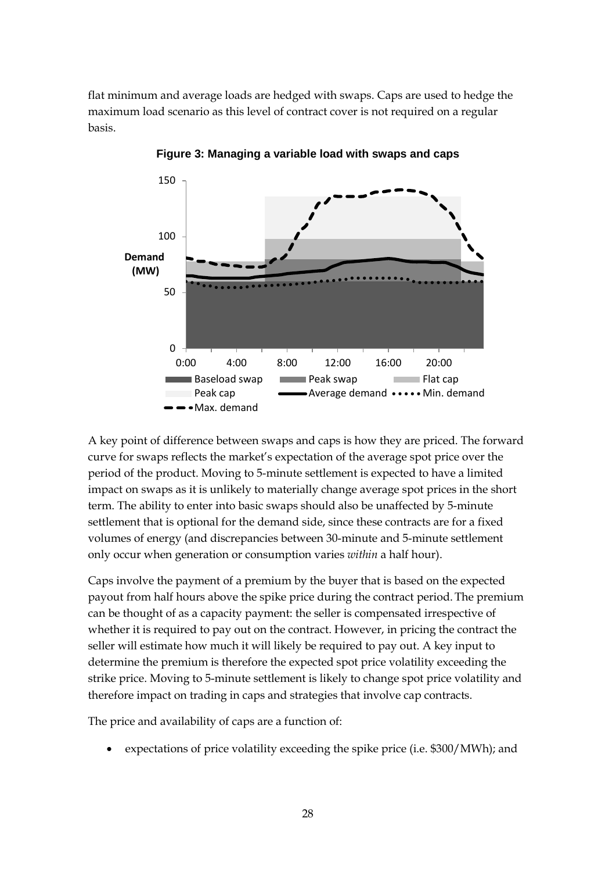flat minimum and average loads are hedged with swaps. Caps are used to hedge the maximum load scenario as this level of contract cover is not required on a regular basis.

<span id="page-27-0"></span>

**Figure 3: Managing a variable load with swaps and caps**

A key point of difference between swaps and caps is how they are priced. The forward curve for swaps reflects the market's expectation of the average spot price over the period of the product. Moving to 5-minute settlement is expected to have a limited impact on swaps as it is unlikely to materially change average spot prices in the short term. The ability to enter into basic swaps should also be unaffected by 5-minute settlement that is optional for the demand side, since these contracts are for a fixed volumes of energy (and discrepancies between 30-minute and 5-minute settlement only occur when generation or consumption varies *within* a half hour).

Caps involve the payment of a premium by the buyer that is based on the expected payout from half hours above the spike price during the contract period. The premium can be thought of as a capacity payment: the seller is compensated irrespective of whether it is required to pay out on the contract. However, in pricing the contract the seller will estimate how much it will likely be required to pay out. A key input to determine the premium is therefore the expected spot price volatility exceeding the strike price. Moving to 5-minute settlement is likely to change spot price volatility and therefore impact on trading in caps and strategies that involve cap contracts.

The price and availability of caps are a function of:

• expectations of price volatility exceeding the spike price (i.e. \$300/MWh); and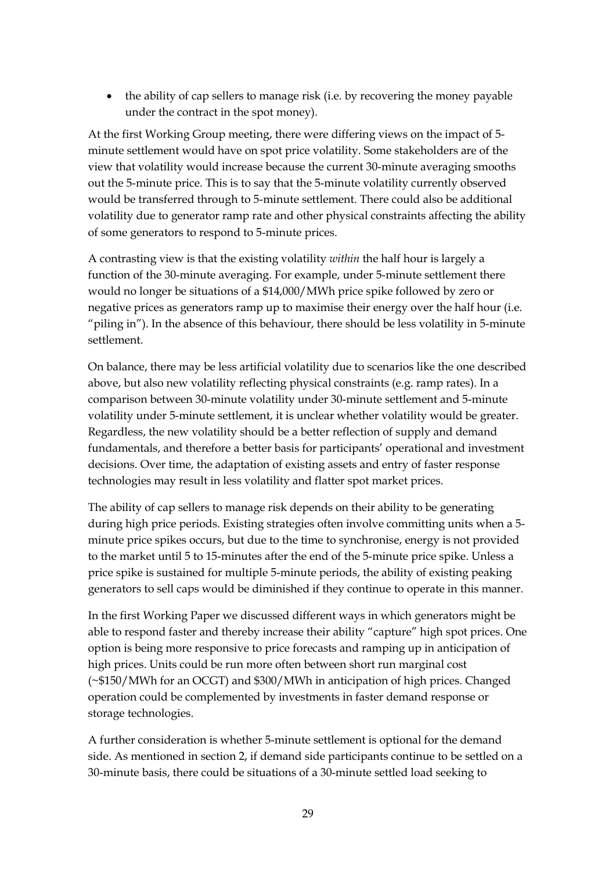• the ability of cap sellers to manage risk (i.e. by recovering the money payable under the contract in the spot money).

At the first Working Group meeting, there were differing views on the impact of 5 minute settlement would have on spot price volatility. Some stakeholders are of the view that volatility would increase because the current 30-minute averaging smooths out the 5-minute price. This is to say that the 5-minute volatility currently observed would be transferred through to 5-minute settlement. There could also be additional volatility due to generator ramp rate and other physical constraints affecting the ability of some generators to respond to 5-minute prices.

A contrasting view is that the existing volatility *within* the half hour is largely a function of the 30-minute averaging. For example, under 5-minute settlement there would no longer be situations of a \$14,000/MWh price spike followed by zero or negative prices as generators ramp up to maximise their energy over the half hour (i.e. "piling in"). In the absence of this behaviour, there should be less volatility in 5-minute settlement.

On balance, there may be less artificial volatility due to scenarios like the one described above, but also new volatility reflecting physical constraints (e.g. ramp rates). In a comparison between 30-minute volatility under 30-minute settlement and 5-minute volatility under 5-minute settlement, it is unclear whether volatility would be greater. Regardless, the new volatility should be a better reflection of supply and demand fundamentals, and therefore a better basis for participants' operational and investment decisions. Over time, the adaptation of existing assets and entry of faster response technologies may result in less volatility and flatter spot market prices.

The ability of cap sellers to manage risk depends on their ability to be generating during high price periods. Existing strategies often involve committing units when a 5 minute price spikes occurs, but due to the time to synchronise, energy is not provided to the market until 5 to 15-minutes after the end of the 5-minute price spike. Unless a price spike is sustained for multiple 5-minute periods, the ability of existing peaking generators to sell caps would be diminished if they continue to operate in this manner.

In the first Working Paper we discussed different ways in which generators might be able to respond faster and thereby increase their ability "capture" high spot prices. One option is being more responsive to price forecasts and ramping up in anticipation of high prices. Units could be run more often between short run marginal cost (~\$150/MWh for an OCGT) and \$300/MWh in anticipation of high prices. Changed operation could be complemented by investments in faster demand response or storage technologies.

A further consideration is whether 5-minute settlement is optional for the demand side. As mentioned in section 2, if demand side participants continue to be settled on a 30-minute basis, there could be situations of a 30-minute settled load seeking to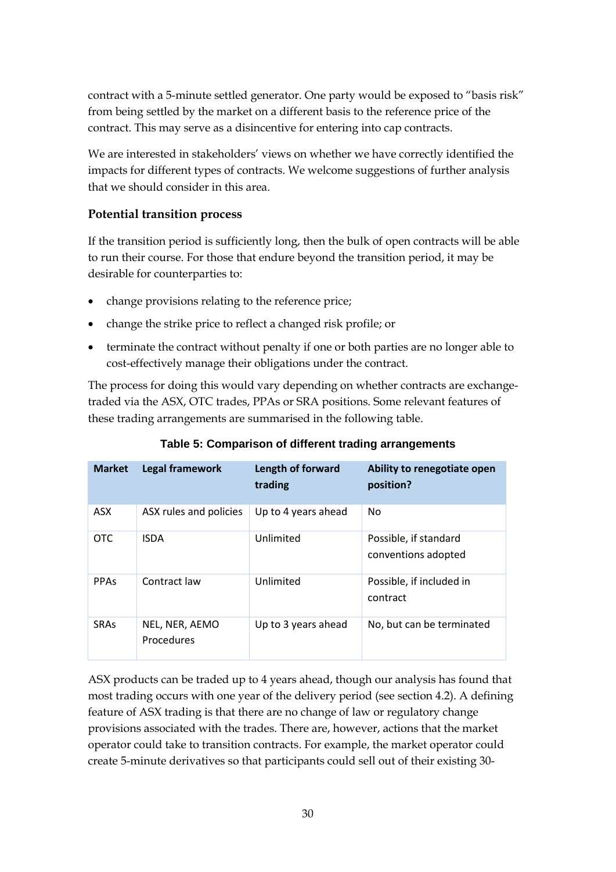contract with a 5-minute settled generator. One party would be exposed to "basis risk" from being settled by the market on a different basis to the reference price of the contract. This may serve as a disincentive for entering into cap contracts.

We are interested in stakeholders' views on whether we have correctly identified the impacts for different types of contracts. We welcome suggestions of further analysis that we should consider in this area.

### **Potential transition process**

If the transition period is sufficiently long, then the bulk of open contracts will be able to run their course. For those that endure beyond the transition period, it may be desirable for counterparties to:

- change provisions relating to the reference price;
- change the strike price to reflect a changed risk profile; or
- terminate the contract without penalty if one or both parties are no longer able to cost-effectively manage their obligations under the contract.

The process for doing this would vary depending on whether contracts are exchangetraded via the ASX, OTC trades, PPAs or SRA positions. Some relevant features of these trading arrangements are summarised in the following table.

| <b>Market</b> | <b>Legal framework</b>       | Length of forward<br>trading | Ability to renegotiate open<br>position?     |
|---------------|------------------------------|------------------------------|----------------------------------------------|
| <b>ASX</b>    | ASX rules and policies       | Up to 4 years ahead          | <b>No</b>                                    |
| <b>OTC</b>    | <b>ISDA</b>                  | Unlimited                    | Possible, if standard<br>conventions adopted |
| <b>PPAs</b>   | Contract law                 | Unlimited                    | Possible, if included in<br>contract         |
| <b>SRAs</b>   | NEL, NER, AEMO<br>Procedures | Up to 3 years ahead          | No, but can be terminated                    |

**Table 5: Comparison of different trading arrangements**

ASX products can be traded up to 4 years ahead, though our analysis has found that most trading occurs with one year of the delivery period (see section 4.2). A defining feature of ASX trading is that there are no change of law or regulatory change provisions associated with the trades. There are, however, actions that the market operator could take to transition contracts. For example, the market operator could create 5-minute derivatives so that participants could sell out of their existing 30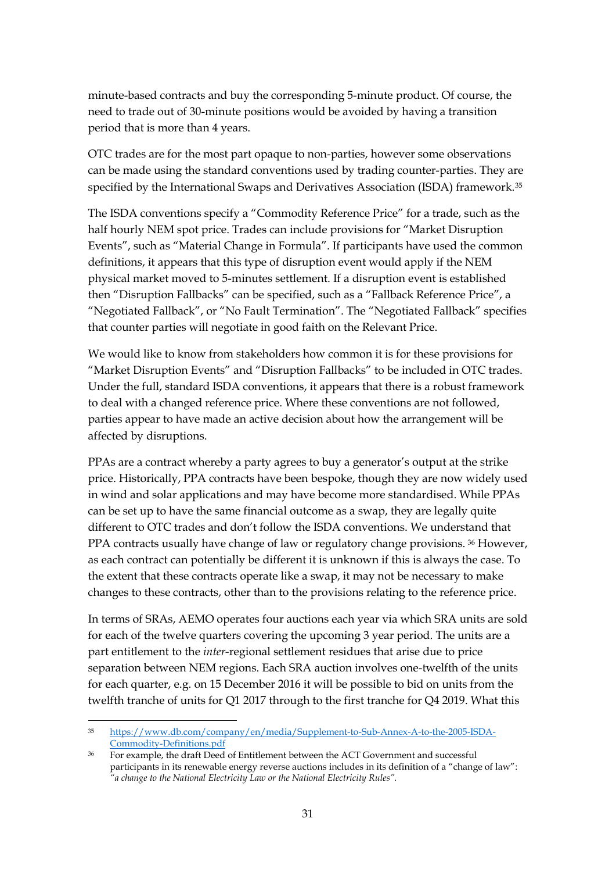minute-based contracts and buy the corresponding 5-minute product. Of course, the need to trade out of 30-minute positions would be avoided by having a transition period that is more than 4 years.

OTC trades are for the most part opaque to non-parties, however some observations can be made using the standard conventions used by trading counter-parties. They are specified by the International Swaps and Derivatives Association (ISDA) framework.[35](#page-30-0)

The ISDA conventions specify a "Commodity Reference Price" for a trade, such as the half hourly NEM spot price. Trades can include provisions for "Market Disruption Events", such as "Material Change in Formula". If participants have used the common definitions, it appears that this type of disruption event would apply if the NEM physical market moved to 5-minutes settlement. If a disruption event is established then "Disruption Fallbacks" can be specified, such as a "Fallback Reference Price", a "Negotiated Fallback", or "No Fault Termination". The "Negotiated Fallback" specifies that counter parties will negotiate in good faith on the Relevant Price.

We would like to know from stakeholders how common it is for these provisions for "Market Disruption Events" and "Disruption Fallbacks" to be included in OTC trades. Under the full, standard ISDA conventions, it appears that there is a robust framework to deal with a changed reference price. Where these conventions are not followed, parties appear to have made an active decision about how the arrangement will be affected by disruptions.

PPAs are a contract whereby a party agrees to buy a generator's output at the strike price. Historically, PPA contracts have been bespoke, though they are now widely used in wind and solar applications and may have become more standardised. While PPAs can be set up to have the same financial outcome as a swap, they are legally quite different to OTC trades and don't follow the ISDA conventions. We understand that PPA contracts usually have change of law or regulatory change provisions. <sup>[36](#page-30-1)</sup> However, as each contract can potentially be different it is unknown if this is always the case. To the extent that these contracts operate like a swap, it may not be necessary to make changes to these contracts, other than to the provisions relating to the reference price.

In terms of SRAs, AEMO operates four auctions each year via which SRA units are sold for each of the twelve quarters covering the upcoming 3 year period. The units are a part entitlement to the *inter-*regional settlement residues that arise due to price separation between NEM regions. Each SRA auction involves one-twelfth of the units for each quarter, e.g. on 15 December 2016 it will be possible to bid on units from the twelfth tranche of units for Q1 2017 through to the first tranche for Q4 2019. What this

<span id="page-30-0"></span> <sup>35</sup> [https://www.db.com/company/en/media/Supplement-to-Sub-Annex-A-to-the-2005-ISDA-](https://www.db.com/company/en/media/Supplement-to-Sub-Annex-A-to-the-2005-ISDA-Commodity-Definitions.pdf)[Commodity-Definitions.pdf](https://www.db.com/company/en/media/Supplement-to-Sub-Annex-A-to-the-2005-ISDA-Commodity-Definitions.pdf)

<span id="page-30-1"></span><sup>36</sup> For example, the draft Deed of Entitlement between the ACT Government and successful participants in its renewable energy reverse auctions includes in its definition of a "change of law": *"a change to the National Electricity Law or the National Electricity Rules".*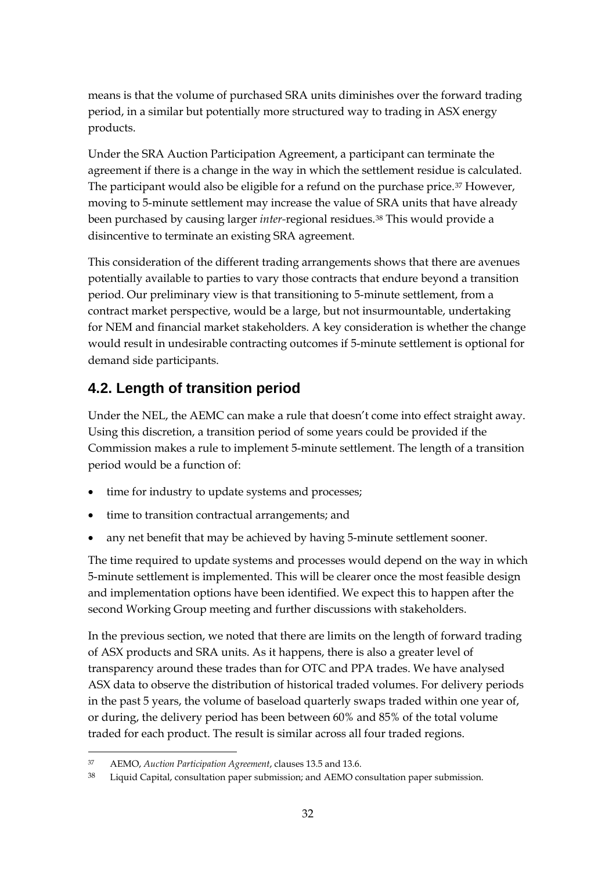means is that the volume of purchased SRA units diminishes over the forward trading period, in a similar but potentially more structured way to trading in ASX energy products.

Under the SRA Auction Participation Agreement, a participant can terminate the agreement if there is a change in the way in which the settlement residue is calculated. The participant would also be eligible for a refund on the purchase price.<sup>[37](#page-31-0)</sup> However, moving to 5-minute settlement may increase the value of SRA units that have already been purchased by causing larger *inter-*regional residues.[38](#page-31-1) This would provide a disincentive to terminate an existing SRA agreement.

This consideration of the different trading arrangements shows that there are avenues potentially available to parties to vary those contracts that endure beyond a transition period. Our preliminary view is that transitioning to 5-minute settlement, from a contract market perspective, would be a large, but not insurmountable, undertaking for NEM and financial market stakeholders. A key consideration is whether the change would result in undesirable contracting outcomes if 5-minute settlement is optional for demand side participants.

## **4.2. Length of transition period**

Under the NEL, the AEMC can make a rule that doesn't come into effect straight away. Using this discretion, a transition period of some years could be provided if the Commission makes a rule to implement 5-minute settlement. The length of a transition period would be a function of:

- time for industry to update systems and processes;
- time to transition contractual arrangements; and
- any net benefit that may be achieved by having 5-minute settlement sooner.

The time required to update systems and processes would depend on the way in which 5-minute settlement is implemented. This will be clearer once the most feasible design and implementation options have been identified. We expect this to happen after the second Working Group meeting and further discussions with stakeholders.

In the previous section, we noted that there are limits on the length of forward trading of ASX products and SRA units. As it happens, there is also a greater level of transparency around these trades than for OTC and PPA trades. We have analysed ASX data to observe the distribution of historical traded volumes. For delivery periods in the past 5 years, the volume of baseload quarterly swaps traded within one year of, or during, the delivery period has been between 60% and 85% of the total volume traded for each product. The result is similar across all four traded regions.

<span id="page-31-0"></span> <sup>37</sup> AEMO, *Auction Participation Agreement*, clauses 13.5 and 13.6.

<span id="page-31-1"></span><sup>38</sup> Liquid Capital, consultation paper submission; and AEMO consultation paper submission.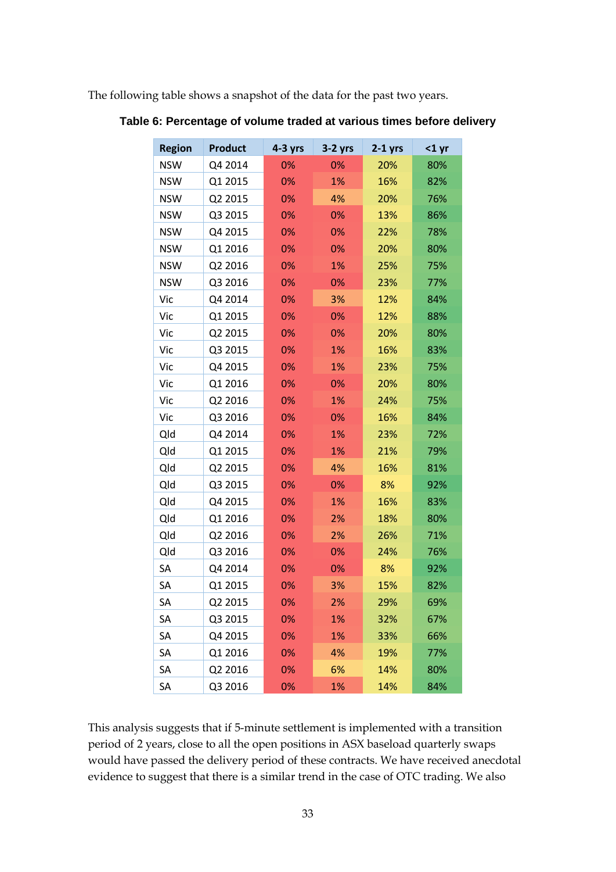The following table shows a snapshot of the data for the past two years.

| <b>Region</b> | <b>Product</b> | $4-3$ yrs | $3-2$ yrs | $2-1$ yrs | $<$ 1 yr |
|---------------|----------------|-----------|-----------|-----------|----------|
| <b>NSW</b>    | Q4 2014        | 0%        | 0%        | 20%       | 80%      |
| <b>NSW</b>    | Q1 2015        | 0%        | 1%        | 16%       | 82%      |
| <b>NSW</b>    | Q2 2015        | 0%        | 4%        | 20%       | 76%      |
| <b>NSW</b>    | Q3 2015        | 0%        | 0%        | 13%       | 86%      |
| <b>NSW</b>    | Q4 2015        | 0%        | 0%        | 22%       | 78%      |
| <b>NSW</b>    | Q1 2016        | 0%        | 0%        | 20%       | 80%      |
| <b>NSW</b>    | Q2 2016        | 0%        | 1%        | 25%       | 75%      |
| <b>NSW</b>    | Q3 2016        | 0%        | 0%        | 23%       | 77%      |
| Vic           | Q4 2014        | 0%        | 3%        | 12%       | 84%      |
| Vic           | Q1 2015        | 0%        | 0%        | 12%       | 88%      |
| Vic           | Q2 2015        | 0%        | 0%        | 20%       | 80%      |
| Vic           | Q3 2015        | 0%        | 1%        | 16%       | 83%      |
| Vic           | Q4 2015        | 0%        | 1%        | 23%       | 75%      |
| Vic           | Q1 2016        | 0%        | 0%        | 20%       | 80%      |
| Vic           | Q2 2016        | 0%        | 1%        | 24%       | 75%      |
| Vic           | Q3 2016        | 0%        | 0%        | 16%       | 84%      |
| Qld           | Q4 2014        | 0%        | 1%        | 23%       | 72%      |
| Qld           | Q1 2015        | 0%        | 1%        | 21%       | 79%      |
| Qld           | Q2 2015        | 0%        | 4%        | 16%       | 81%      |
| Qld           | Q3 2015        | 0%        | 0%        | 8%        | 92%      |
| Qld           | Q4 2015        | 0%        | 1%        | 16%       | 83%      |
| Qld           | Q1 2016        | 0%        | 2%        | 18%       | 80%      |
| Qld           | Q2 2016        | 0%        | 2%        | 26%       | 71%      |
| Qld           | Q3 2016        | 0%        | 0%        | 24%       | 76%      |
| SA            | Q4 2014        | 0%        | 0%        | 8%        | 92%      |
| SA            | Q1 2015        | 0%        | 3%        | 15%       | 82%      |
| SА            | Q2 2015        | 0%        | 2%        | 29%       | 69%      |
| SA            | Q3 2015        | 0%        | 1%        | 32%       | 67%      |
| SA            | Q4 2015        | 0%        | 1%        | 33%       | 66%      |
| SA            | Q1 2016        | 0%        | 4%        | 19%       | 77%      |
| SA            | Q2 2016        | 0%        | 6%        | 14%       | 80%      |
| SA            | Q3 2016        | 0%        | 1%        | 14%       | 84%      |

**Table 6: Percentage of volume traded at various times before delivery**

This analysis suggests that if 5-minute settlement is implemented with a transition period of 2 years, close to all the open positions in ASX baseload quarterly swaps would have passed the delivery period of these contracts. We have received anecdotal evidence to suggest that there is a similar trend in the case of OTC trading. We also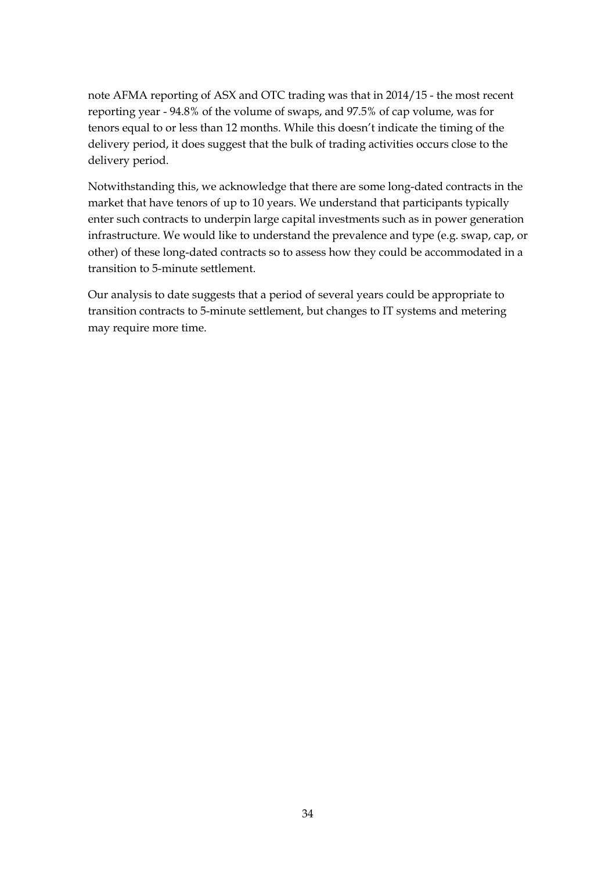note AFMA reporting of ASX and OTC trading was that in 2014/15 - the most recent reporting year - 94.8% of the volume of swaps, and 97.5% of cap volume, was for tenors equal to or less than 12 months. While this doesn't indicate the timing of the delivery period, it does suggest that the bulk of trading activities occurs close to the delivery period.

Notwithstanding this, we acknowledge that there are some long-dated contracts in the market that have tenors of up to 10 years. We understand that participants typically enter such contracts to underpin large capital investments such as in power generation infrastructure. We would like to understand the prevalence and type (e.g. swap, cap, or other) of these long-dated contracts so to assess how they could be accommodated in a transition to 5-minute settlement.

Our analysis to date suggests that a period of several years could be appropriate to transition contracts to 5-minute settlement, but changes to IT systems and metering may require more time.